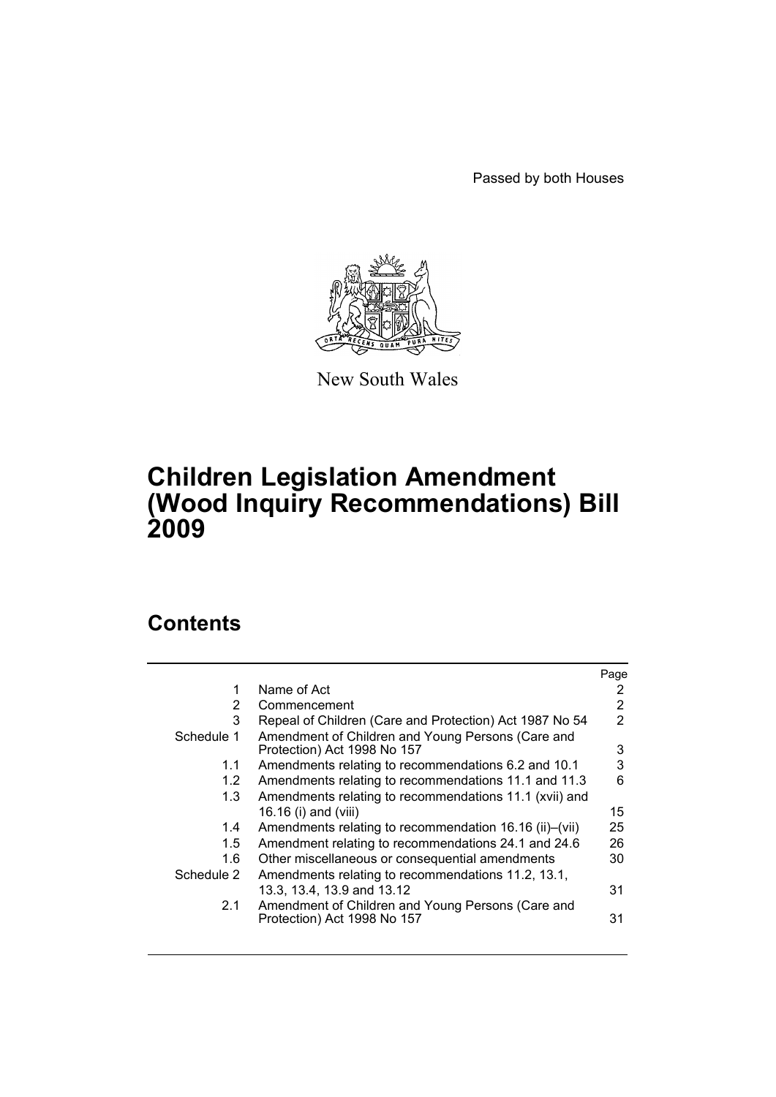Passed by both Houses



New South Wales

# **Children Legislation Amendment (Wood Inquiry Recommendations) Bill 2009**

# **Contents**

|               |                                                                                  | Page |
|---------------|----------------------------------------------------------------------------------|------|
| 1             | Name of Act                                                                      |      |
| 2             | Commencement                                                                     | 2    |
| 3             | Repeal of Children (Care and Protection) Act 1987 No 54                          | 2    |
| Schedule 1    | Amendment of Children and Young Persons (Care and<br>Protection) Act 1998 No 157 | 3    |
| 1.1           | Amendments relating to recommendations 6.2 and 10.1                              | 3    |
| 1.2           | Amendments relating to recommendations 11.1 and 11.3                             | 6    |
| 1.3           | Amendments relating to recommendations 11.1 (xvii) and                           |      |
|               | 16.16 (i) and (viii)                                                             | 15   |
| 1.4           | Amendments relating to recommendation 16.16 (ii)–(vii)                           | 25   |
| $1.5^{\circ}$ | Amendment relating to recommendations 24.1 and 24.6                              | 26   |
| 1.6           | Other miscellaneous or consequential amendments                                  | 30   |
| Schedule 2    | Amendments relating to recommendations 11.2, 13.1,                               |      |
|               | 13.3, 13.4, 13.9 and 13.12                                                       | 31   |
| 2.1           | Amendment of Children and Young Persons (Care and<br>Protection) Act 1998 No 157 | 31   |
|               |                                                                                  |      |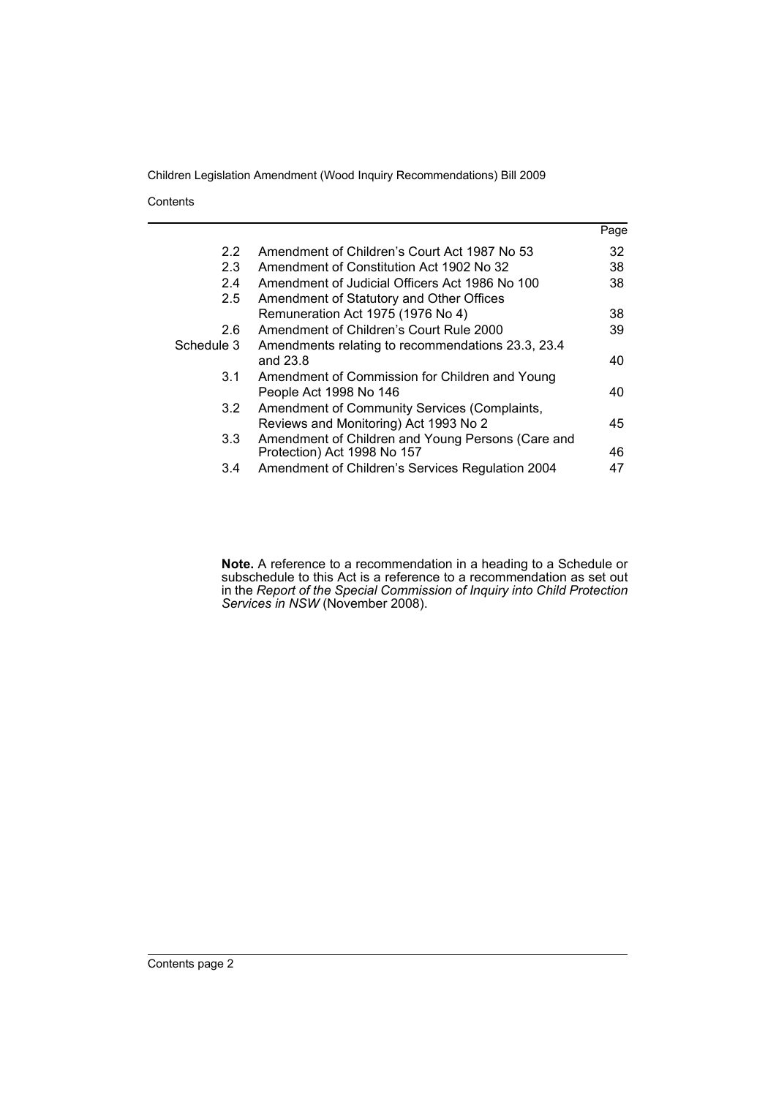**Contents** 

|                  |                                                   | Page |
|------------------|---------------------------------------------------|------|
| $2.2^{\circ}$    | Amendment of Children's Court Act 1987 No 53      | 32   |
| 2.3              | Amendment of Constitution Act 1902 No 32          | 38   |
| 2.4              | Amendment of Judicial Officers Act 1986 No 100    | 38   |
| $2.5\,$          | Amendment of Statutory and Other Offices          |      |
|                  | Remuneration Act 1975 (1976 No 4)                 | 38   |
| 2.6              | Amendment of Children's Court Rule 2000           | 39   |
| Schedule 3       | Amendments relating to recommendations 23.3, 23.4 |      |
|                  | and 23.8                                          | 40   |
| 3.1              | Amendment of Commission for Children and Young    |      |
|                  | People Act 1998 No 146                            | 40   |
| 3.2              | Amendment of Community Services (Complaints,      |      |
|                  | Reviews and Monitoring) Act 1993 No 2             | 45   |
| 3.3 <sub>1</sub> | Amendment of Children and Young Persons (Care and |      |
|                  | Protection) Act 1998 No 157                       | 46   |
| 3.4              | Amendment of Children's Services Regulation 2004  | 47   |

**Note.** A reference to a recommendation in a heading to a Schedule or subschedule to this Act is a reference to a recommendation as set out in the *Report of the Special Commission of Inquiry into Child Protection Services in NSW* (November 2008).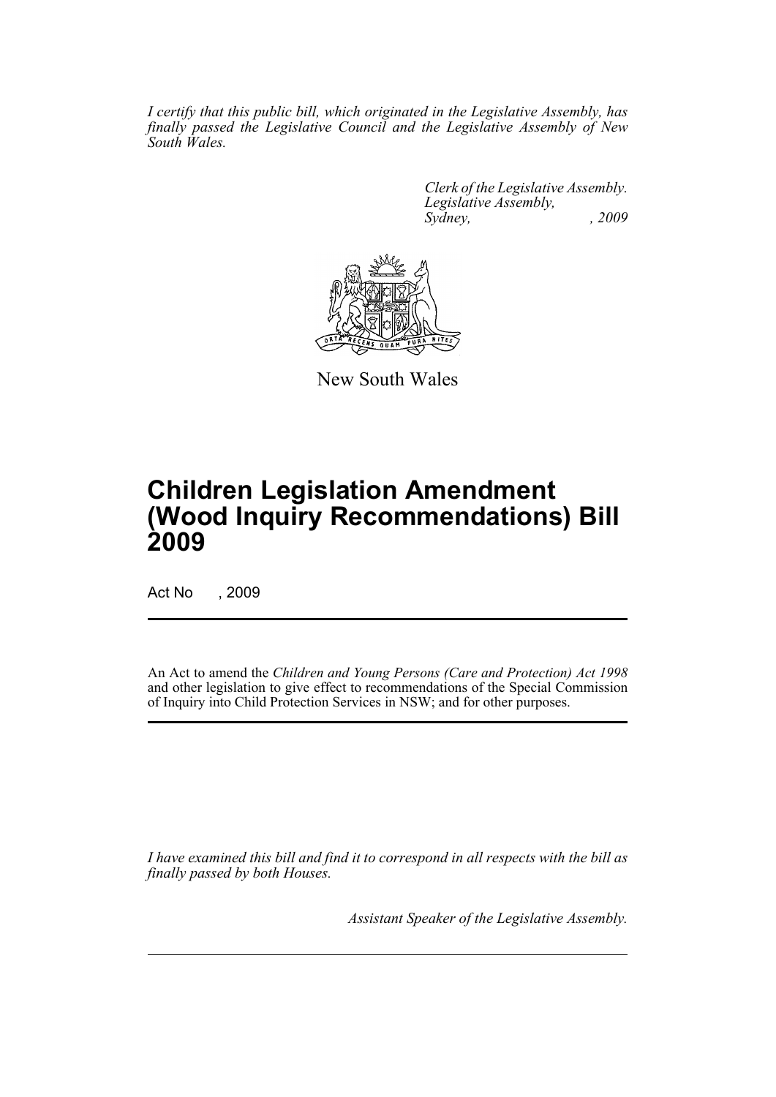*I certify that this public bill, which originated in the Legislative Assembly, has finally passed the Legislative Council and the Legislative Assembly of New South Wales.*

> *Clerk of the Legislative Assembly. Legislative Assembly, Sydney, , 2009*



New South Wales

# **Children Legislation Amendment (Wood Inquiry Recommendations) Bill 2009**

Act No , 2009

An Act to amend the *Children and Young Persons (Care and Protection) Act 1998* and other legislation to give effect to recommendations of the Special Commission of Inquiry into Child Protection Services in NSW; and for other purposes.

*I have examined this bill and find it to correspond in all respects with the bill as finally passed by both Houses.*

*Assistant Speaker of the Legislative Assembly.*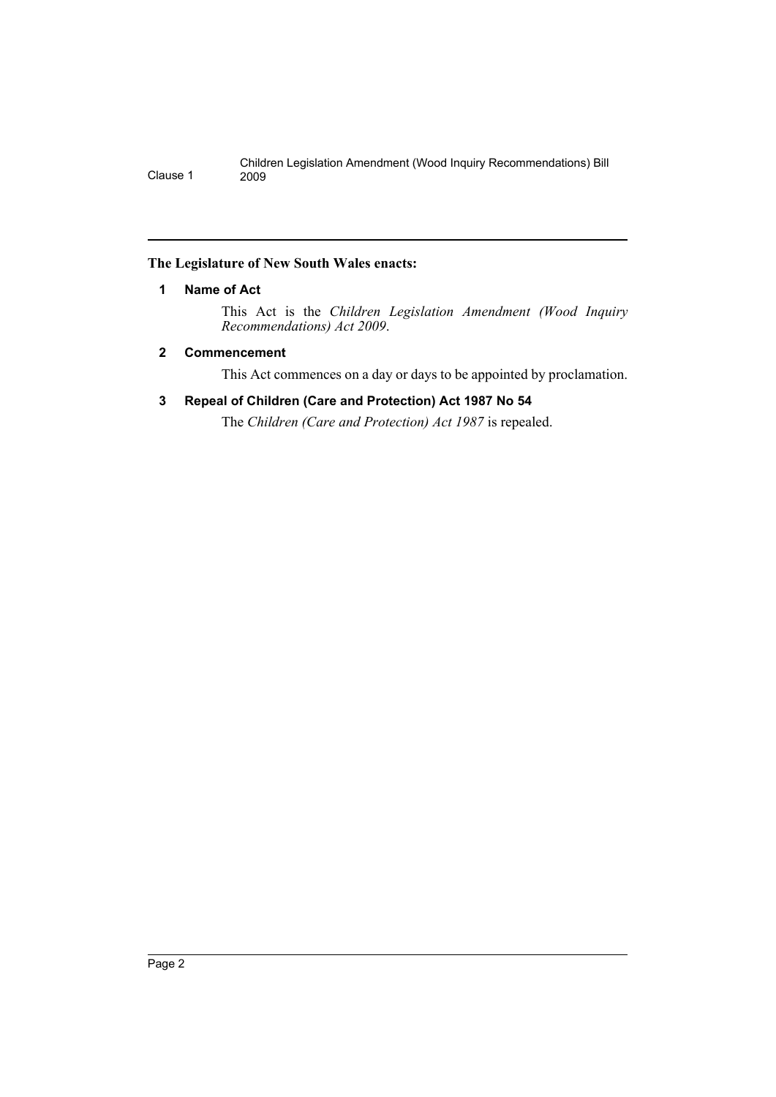# <span id="page-3-0"></span>**The Legislature of New South Wales enacts:**

# **1 Name of Act**

This Act is the *Children Legislation Amendment (Wood Inquiry Recommendations) Act 2009*.

# <span id="page-3-1"></span>**2 Commencement**

This Act commences on a day or days to be appointed by proclamation.

# **3 Repeal of Children (Care and Protection) Act 1987 No 54**

The *Children (Care and Protection) Act 1987* is repealed.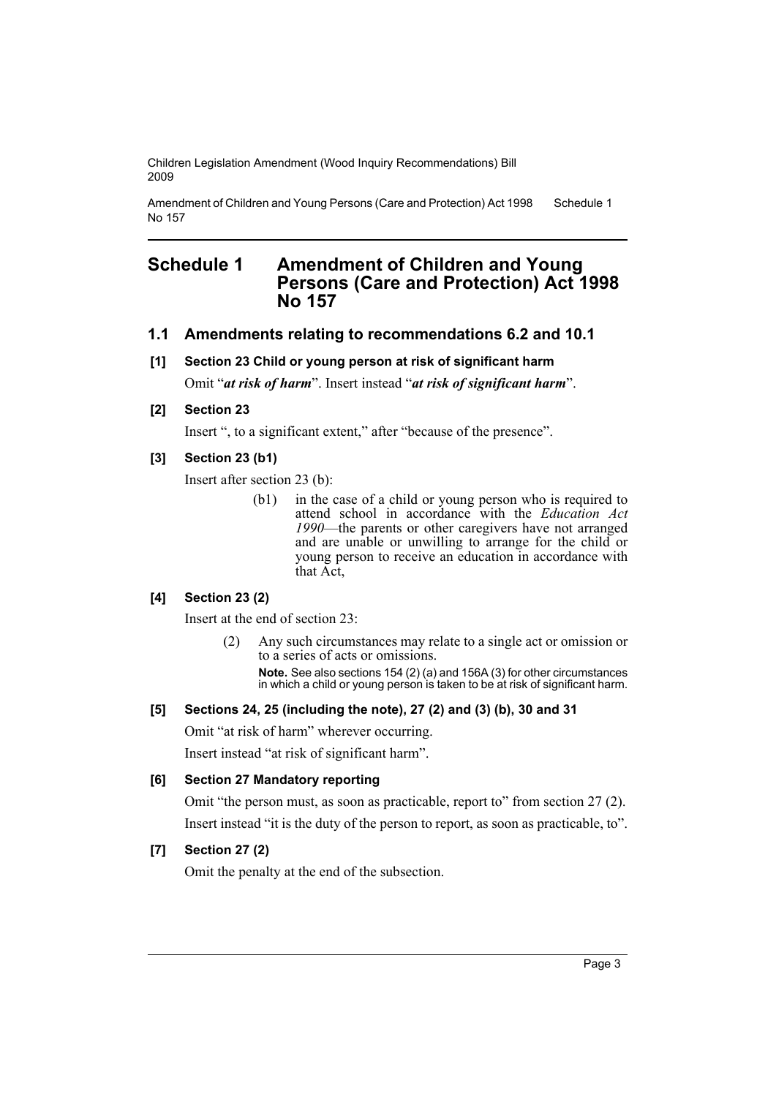Amendment of Children and Young Persons (Care and Protection) Act 1998 No 157 Schedule 1

# <span id="page-4-0"></span>**Schedule 1 Amendment of Children and Young Persons (Care and Protection) Act 1998 No 157**

# **1.1 Amendments relating to recommendations 6.2 and 10.1**

# **[1] Section 23 Child or young person at risk of significant harm**

Omit "*at risk of harm*". Insert instead "*at risk of significant harm*".

### **[2] Section 23**

Insert ", to a significant extent," after "because of the presence".

# **[3] Section 23 (b1)**

Insert after section 23 (b):

(b1) in the case of a child or young person who is required to attend school in accordance with the *Education Act 1990*—the parents or other caregivers have not arranged and are unable or unwilling to arrange for the child or young person to receive an education in accordance with that Act,

# **[4] Section 23 (2)**

Insert at the end of section 23:

(2) Any such circumstances may relate to a single act or omission or to a series of acts or omissions.

**Note.** See also sections 154 (2) (a) and 156A (3) for other circumstances in which a child or young person is taken to be at risk of significant harm.

### **[5] Sections 24, 25 (including the note), 27 (2) and (3) (b), 30 and 31**

Omit "at risk of harm" wherever occurring.

Insert instead "at risk of significant harm".

### **[6] Section 27 Mandatory reporting**

Omit "the person must, as soon as practicable, report to" from section 27 (2). Insert instead "it is the duty of the person to report, as soon as practicable, to".

# **[7] Section 27 (2)**

Omit the penalty at the end of the subsection.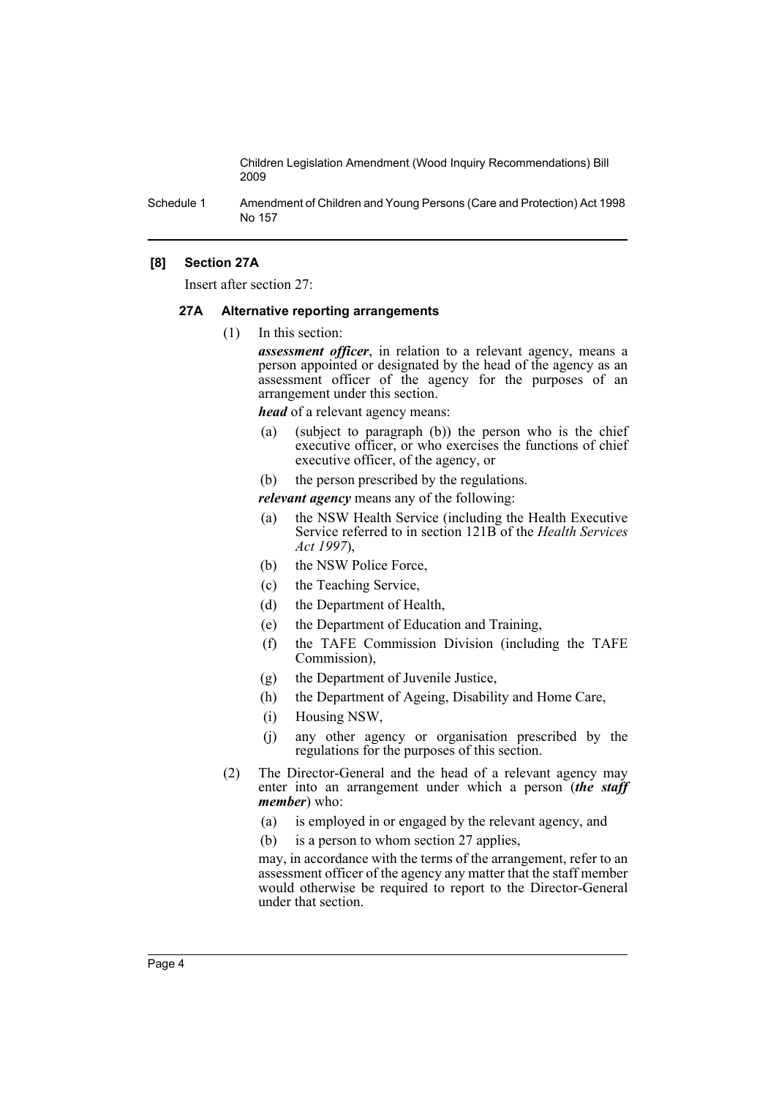Schedule 1 Amendment of Children and Young Persons (Care and Protection) Act 1998 No 157

### **[8] Section 27A**

Insert after section 27:

#### **27A Alternative reporting arrangements**

(1) In this section:

*assessment officer*, in relation to a relevant agency, means a person appointed or designated by the head of the agency as an assessment officer of the agency for the purposes of an arrangement under this section.

*head* of a relevant agency means:

(a) (subject to paragraph (b)) the person who is the chief executive officer, or who exercises the functions of chief executive officer, of the agency, or

(b) the person prescribed by the regulations.

- *relevant agency* means any of the following:
- (a) the NSW Health Service (including the Health Executive Service referred to in section 121B of the *Health Services Act 1997*),
- (b) the NSW Police Force,
- (c) the Teaching Service,
- (d) the Department of Health,
- (e) the Department of Education and Training,
- (f) the TAFE Commission Division (including the TAFE Commission),
- (g) the Department of Juvenile Justice,
- (h) the Department of Ageing, Disability and Home Care,
- (i) Housing NSW,
- (j) any other agency or organisation prescribed by the regulations for the purposes of this section.
- (2) The Director-General and the head of a relevant agency may enter into an arrangement under which a person (*the staff member*) who:
	- (a) is employed in or engaged by the relevant agency, and
	- (b) is a person to whom section 27 applies,

may, in accordance with the terms of the arrangement, refer to an assessment officer of the agency any matter that the staff member would otherwise be required to report to the Director-General under that section.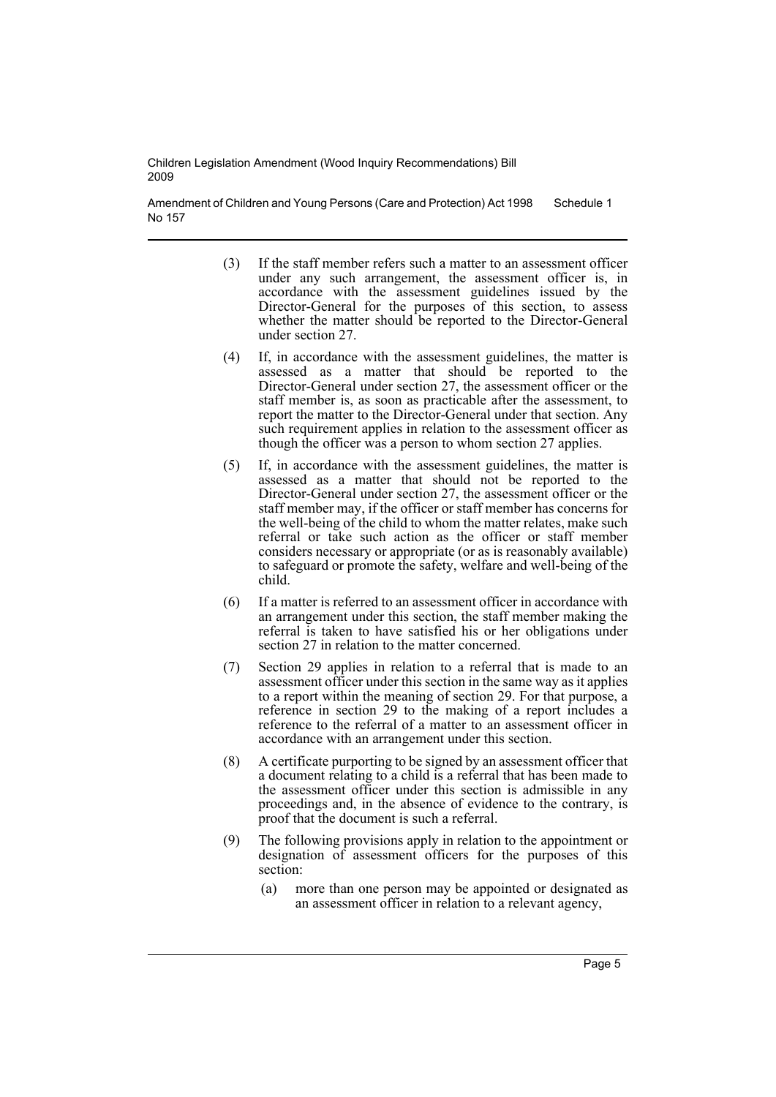Amendment of Children and Young Persons (Care and Protection) Act 1998 No 157 Schedule 1

- (3) If the staff member refers such a matter to an assessment officer under any such arrangement, the assessment officer is, in accordance with the assessment guidelines issued by the Director-General for the purposes of this section, to assess whether the matter should be reported to the Director-General under section 27.
- (4) If, in accordance with the assessment guidelines, the matter is assessed as a matter that should be reported to the Director-General under section 27, the assessment officer or the staff member is, as soon as practicable after the assessment, to report the matter to the Director-General under that section. Any such requirement applies in relation to the assessment officer as though the officer was a person to whom section 27 applies.
- (5) If, in accordance with the assessment guidelines, the matter is assessed as a matter that should not be reported to the Director-General under section 27, the assessment officer or the staff member may, if the officer or staff member has concerns for the well-being of the child to whom the matter relates, make such referral or take such action as the officer or staff member considers necessary or appropriate (or as is reasonably available) to safeguard or promote the safety, welfare and well-being of the child.
- (6) If a matter is referred to an assessment officer in accordance with an arrangement under this section, the staff member making the referral is taken to have satisfied his or her obligations under section 27 in relation to the matter concerned.
- (7) Section 29 applies in relation to a referral that is made to an assessment officer under this section in the same way as it applies to a report within the meaning of section 29. For that purpose, a reference in section 29 to the making of a report includes a reference to the referral of a matter to an assessment officer in accordance with an arrangement under this section.
- (8) A certificate purporting to be signed by an assessment officer that a document relating to a child is a referral that has been made to the assessment officer under this section is admissible in any proceedings and, in the absence of evidence to the contrary, is proof that the document is such a referral.
- (9) The following provisions apply in relation to the appointment or designation of assessment officers for the purposes of this section:
	- (a) more than one person may be appointed or designated as an assessment officer in relation to a relevant agency,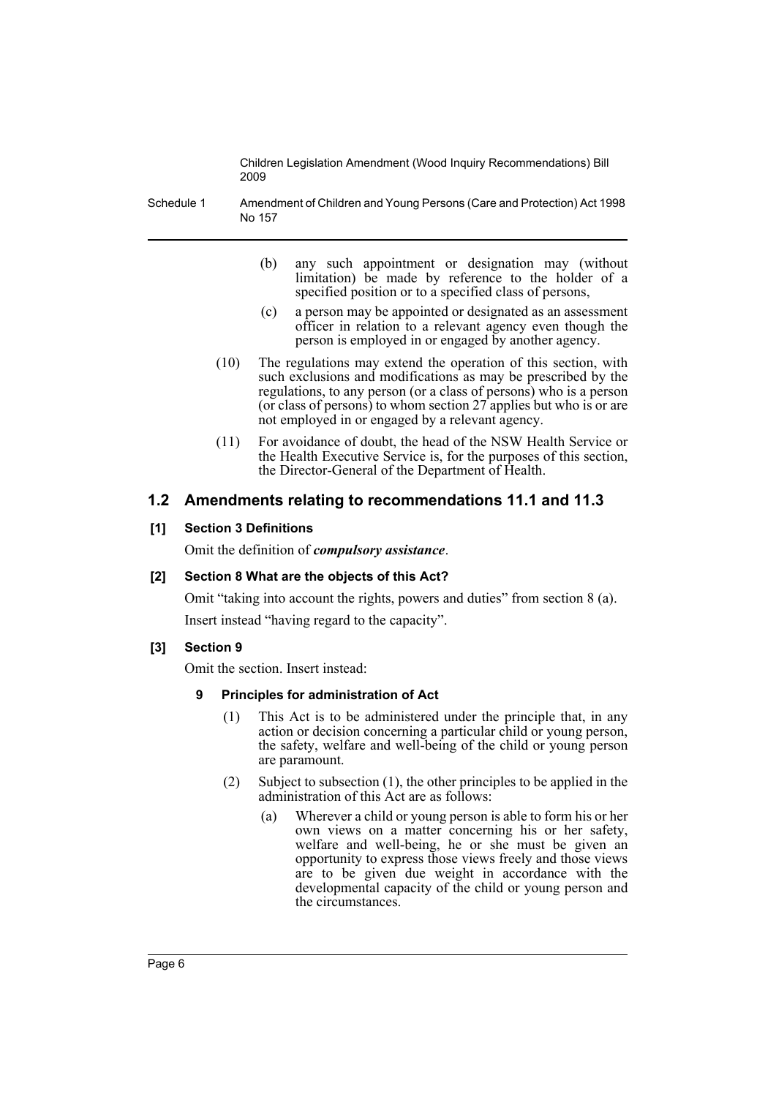Schedule 1 Amendment of Children and Young Persons (Care and Protection) Act 1998 No 157

- (b) any such appointment or designation may (without limitation) be made by reference to the holder of a specified position or to a specified class of persons,
- (c) a person may be appointed or designated as an assessment officer in relation to a relevant agency even though the person is employed in or engaged by another agency.
- (10) The regulations may extend the operation of this section, with such exclusions and modifications as may be prescribed by the regulations, to any person (or a class of persons) who is a person (or class of persons) to whom section 27 applies but who is or are not employed in or engaged by a relevant agency.
- (11) For avoidance of doubt, the head of the NSW Health Service or the Health Executive Service is, for the purposes of this section, the Director-General of the Department of Health.

# **1.2 Amendments relating to recommendations 11.1 and 11.3**

# **[1] Section 3 Definitions**

Omit the definition of *compulsory assistance*.

# **[2] Section 8 What are the objects of this Act?**

Omit "taking into account the rights, powers and duties" from section 8 (a).

Insert instead "having regard to the capacity".

# **[3] Section 9**

Omit the section. Insert instead:

# **9 Principles for administration of Act**

- (1) This Act is to be administered under the principle that, in any action or decision concerning a particular child or young person, the safety, welfare and well-being of the child or young person are paramount.
- (2) Subject to subsection (1), the other principles to be applied in the administration of this Act are as follows:
	- (a) Wherever a child or young person is able to form his or her own views on a matter concerning his or her safety, welfare and well-being, he or she must be given an opportunity to express those views freely and those views are to be given due weight in accordance with the developmental capacity of the child or young person and the circumstances.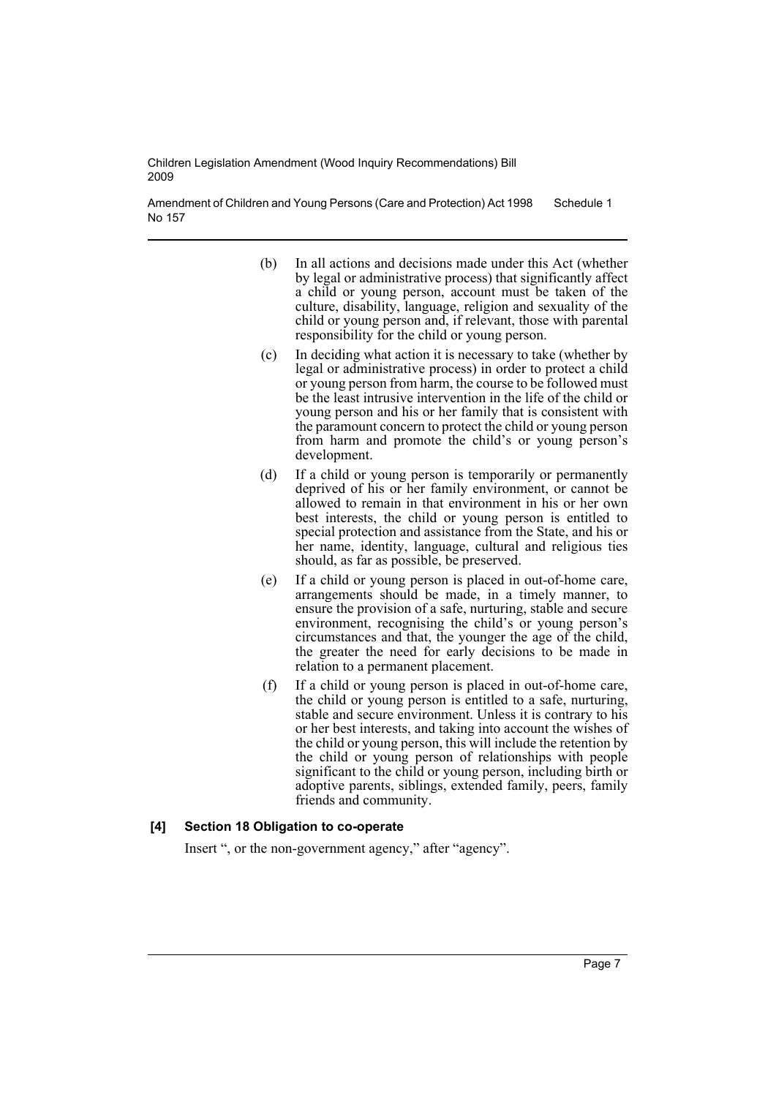Amendment of Children and Young Persons (Care and Protection) Act 1998 No 157 Schedule 1

- (b) In all actions and decisions made under this Act (whether by legal or administrative process) that significantly affect a child or young person, account must be taken of the culture, disability, language, religion and sexuality of the child or young person and, if relevant, those with parental responsibility for the child or young person.
- (c) In deciding what action it is necessary to take (whether by legal or administrative process) in order to protect a child or young person from harm, the course to be followed must be the least intrusive intervention in the life of the child or young person and his or her family that is consistent with the paramount concern to protect the child or young person from harm and promote the child's or young person's development.
- (d) If a child or young person is temporarily or permanently deprived of his or her family environment, or cannot be allowed to remain in that environment in his or her own best interests, the child or young person is entitled to special protection and assistance from the State, and his or her name, identity, language, cultural and religious ties should, as far as possible, be preserved.
- (e) If a child or young person is placed in out-of-home care, arrangements should be made, in a timely manner, to ensure the provision of a safe, nurturing, stable and secure environment, recognising the child's or young person's circumstances and that, the younger the age of the child, the greater the need for early decisions to be made in relation to a permanent placement.
- (f) If a child or young person is placed in out-of-home care, the child or young person is entitled to a safe, nurturing, stable and secure environment. Unless it is contrary to his or her best interests, and taking into account the wishes of the child or young person, this will include the retention by the child or young person of relationships with people significant to the child or young person, including birth or adoptive parents, siblings, extended family, peers, family friends and community.

#### **[4] Section 18 Obligation to co-operate**

Insert ", or the non-government agency," after "agency".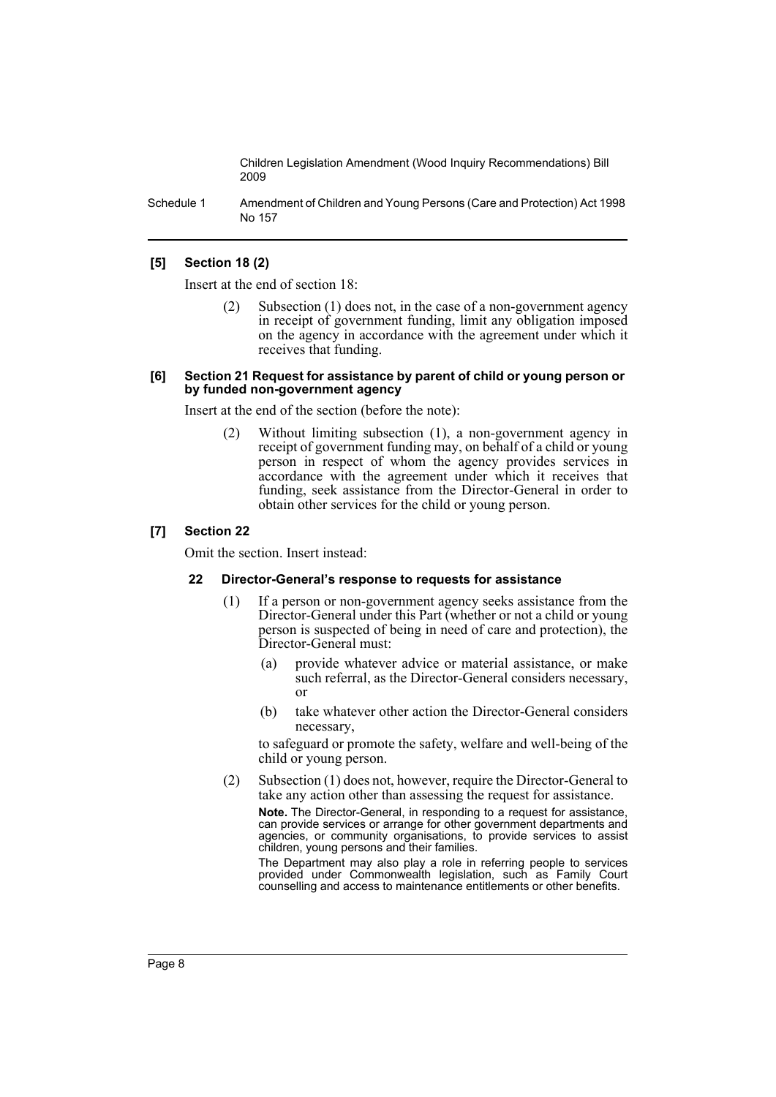Schedule 1 Amendment of Children and Young Persons (Care and Protection) Act 1998 No 157

### **[5] Section 18 (2)**

Insert at the end of section 18:

Subsection  $(1)$  does not, in the case of a non-government agency in receipt of government funding, limit any obligation imposed on the agency in accordance with the agreement under which it receives that funding.

#### **[6] Section 21 Request for assistance by parent of child or young person or by funded non-government agency**

Insert at the end of the section (before the note):

(2) Without limiting subsection (1), a non-government agency in receipt of government funding may, on behalf of a child or young person in respect of whom the agency provides services in accordance with the agreement under which it receives that funding, seek assistance from the Director-General in order to obtain other services for the child or young person.

### **[7] Section 22**

Omit the section. Insert instead:

#### **22 Director-General's response to requests for assistance**

- (1) If a person or non-government agency seeks assistance from the Director-General under this Part (whether or not a child or young person is suspected of being in need of care and protection), the Director-General must:
	- (a) provide whatever advice or material assistance, or make such referral, as the Director-General considers necessary, or
	- (b) take whatever other action the Director-General considers necessary,

to safeguard or promote the safety, welfare and well-being of the child or young person.

(2) Subsection (1) does not, however, require the Director-General to take any action other than assessing the request for assistance.

**Note.** The Director-General, in responding to a request for assistance, can provide services or arrange for other government departments and agencies, or community organisations, to provide services to assist children, young persons and their families.

The Department may also play a role in referring people to services provided under Commonwealth legislation, such as Family Court counselling and access to maintenance entitlements or other benefits.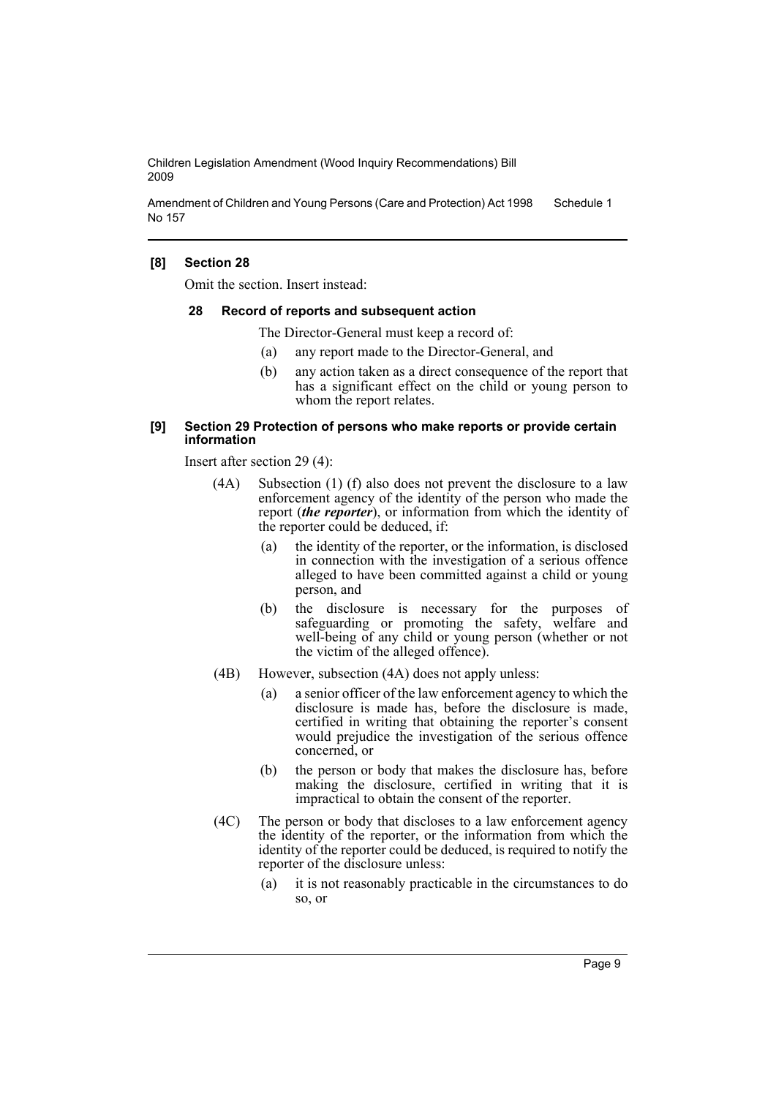Amendment of Children and Young Persons (Care and Protection) Act 1998 No 157 Schedule 1

### **[8] Section 28**

Omit the section. Insert instead:

#### **28 Record of reports and subsequent action**

The Director-General must keep a record of:

- (a) any report made to the Director-General, and
- (b) any action taken as a direct consequence of the report that has a significant effect on the child or young person to whom the report relates.

#### **[9] Section 29 Protection of persons who make reports or provide certain information**

Insert after section 29 (4):

- (4A) Subsection (1) (f) also does not prevent the disclosure to a law enforcement agency of the identity of the person who made the report (*the reporter*), or information from which the identity of the reporter could be deduced, if:
	- (a) the identity of the reporter, or the information, is disclosed in connection with the investigation of a serious offence alleged to have been committed against a child or young person, and
	- (b) the disclosure is necessary for the purposes of safeguarding or promoting the safety, welfare and well-being of any child or young person (whether or not the victim of the alleged offence).
- (4B) However, subsection (4A) does not apply unless:
	- (a) a senior officer of the law enforcement agency to which the disclosure is made has, before the disclosure is made, certified in writing that obtaining the reporter's consent would prejudice the investigation of the serious offence concerned, or
	- (b) the person or body that makes the disclosure has, before making the disclosure, certified in writing that it is impractical to obtain the consent of the reporter.
- (4C) The person or body that discloses to a law enforcement agency the identity of the reporter, or the information from which the identity of the reporter could be deduced, is required to notify the reporter of the disclosure unless:
	- (a) it is not reasonably practicable in the circumstances to do so, or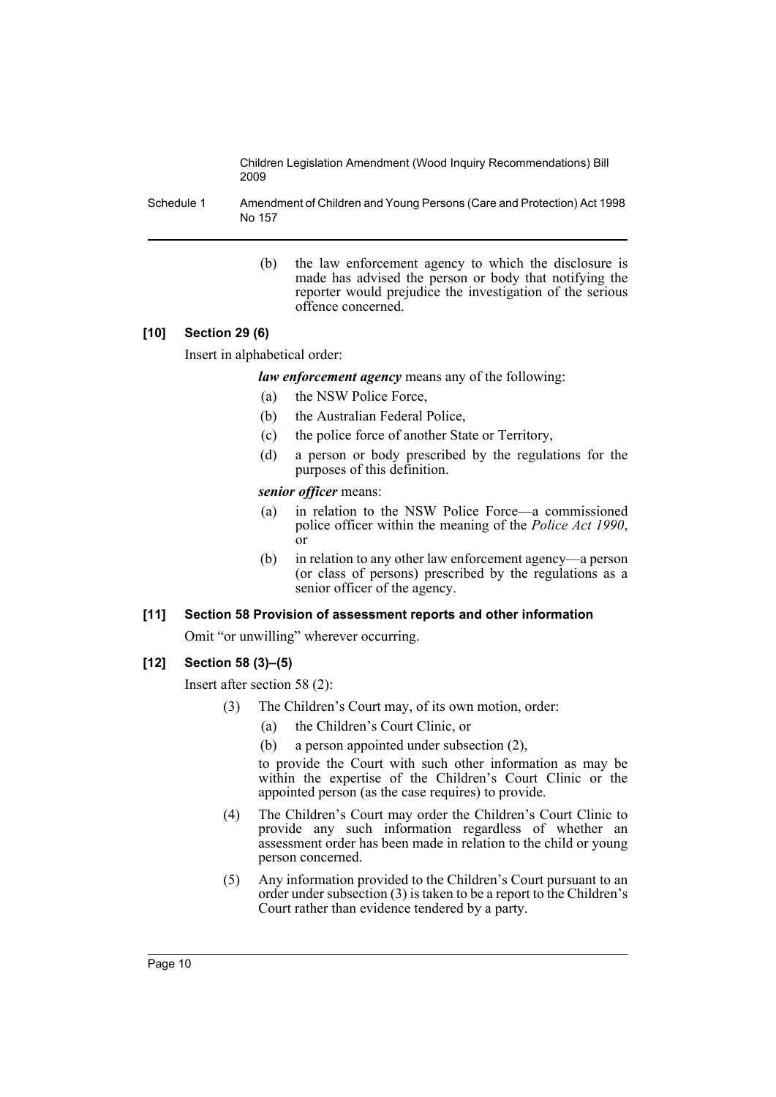Schedule 1 Amendment of Children and Young Persons (Care and Protection) Act 1998 No 157

> (b) the law enforcement agency to which the disclosure is made has advised the person or body that notifying the reporter would prejudice the investigation of the serious offence concerned.

# **[10] Section 29 (6)**

Insert in alphabetical order:

*law enforcement agency* means any of the following:

- (a) the NSW Police Force,
- (b) the Australian Federal Police,
- (c) the police force of another State or Territory,
- (d) a person or body prescribed by the regulations for the purposes of this definition.

#### *senior officer* means:

- (a) in relation to the NSW Police Force—a commissioned police officer within the meaning of the *Police Act 1990*, or
- (b) in relation to any other law enforcement agency—a person (or class of persons) prescribed by the regulations as a senior officer of the agency.

# **[11] Section 58 Provision of assessment reports and other information**

Omit "or unwilling" wherever occurring.

# **[12] Section 58 (3)–(5)**

Insert after section 58 (2):

- (3) The Children's Court may, of its own motion, order:
	- (a) the Children's Court Clinic, or
	- (b) a person appointed under subsection (2),

to provide the Court with such other information as may be within the expertise of the Children's Court Clinic or the appointed person (as the case requires) to provide.

- (4) The Children's Court may order the Children's Court Clinic to provide any such information regardless of whether an assessment order has been made in relation to the child or young person concerned.
- (5) Any information provided to the Children's Court pursuant to an order under subsection (3) is taken to be a report to the Children's Court rather than evidence tendered by a party.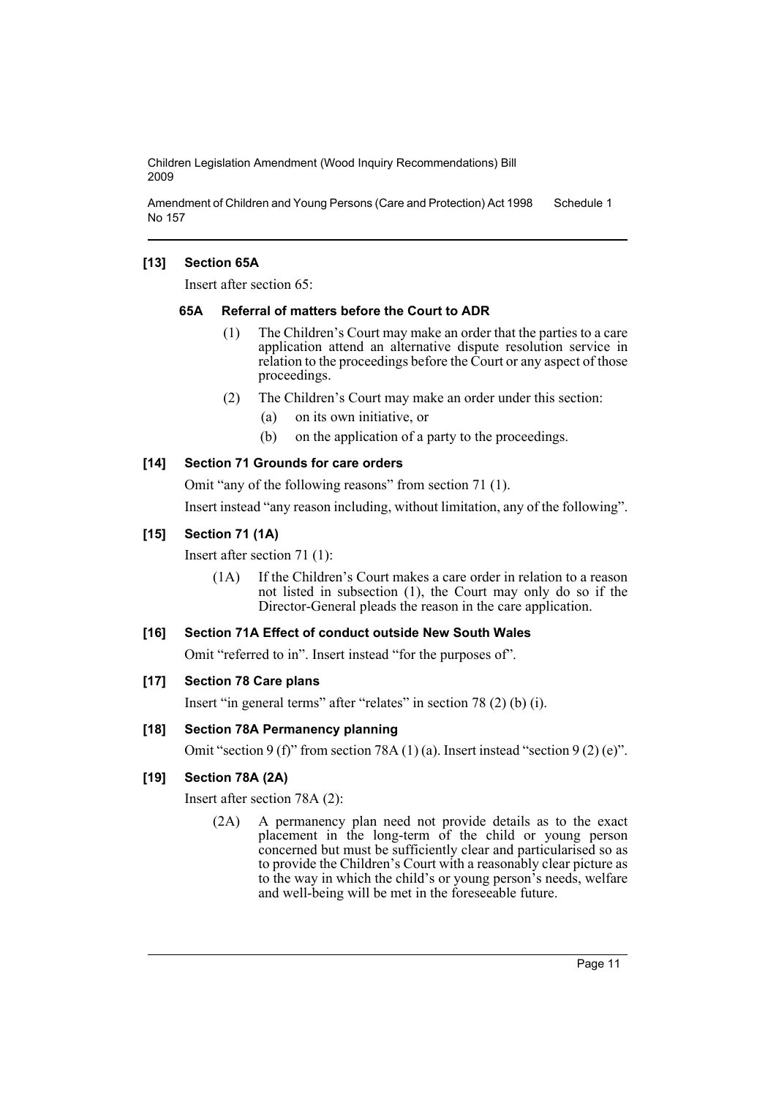Amendment of Children and Young Persons (Care and Protection) Act 1998 No 157 Schedule 1

# **[13] Section 65A**

Insert after section 65:

### **65A Referral of matters before the Court to ADR**

- (1) The Children's Court may make an order that the parties to a care application attend an alternative dispute resolution service in relation to the proceedings before the Court or any aspect of those proceedings.
- (2) The Children's Court may make an order under this section:
	- (a) on its own initiative, or
	- (b) on the application of a party to the proceedings.

# **[14] Section 71 Grounds for care orders**

Omit "any of the following reasons" from section 71 (1).

Insert instead "any reason including, without limitation, any of the following".

# **[15] Section 71 (1A)**

Insert after section 71 (1):

(1A) If the Children's Court makes a care order in relation to a reason not listed in subsection (1), the Court may only do so if the Director-General pleads the reason in the care application.

# **[16] Section 71A Effect of conduct outside New South Wales**

Omit "referred to in". Insert instead "for the purposes of".

# **[17] Section 78 Care plans**

Insert "in general terms" after "relates" in section 78 (2) (b) (i).

# **[18] Section 78A Permanency planning**

Omit "section 9 (f)" from section 78A (1) (a). Insert instead "section 9 (2) (e)".

# **[19] Section 78A (2A)**

Insert after section 78A (2):

(2A) A permanency plan need not provide details as to the exact placement in the long-term of the child or young person concerned but must be sufficiently clear and particularised so as to provide the Children's Court with a reasonably clear picture as to the way in which the child's or young person's needs, welfare and well-being will be met in the foreseeable future.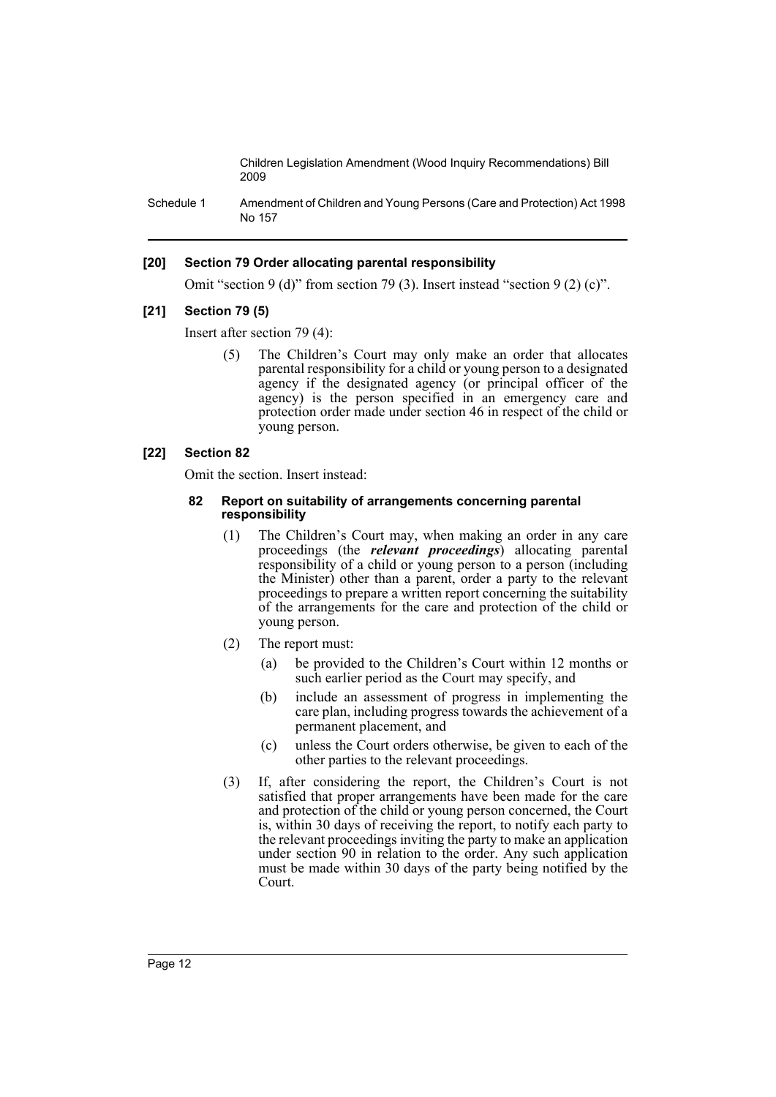Schedule 1 Amendment of Children and Young Persons (Care and Protection) Act 1998 No 157

### **[20] Section 79 Order allocating parental responsibility**

Omit "section 9 (d)" from section 79 (3). Insert instead "section 9 (2) (c)".

#### **[21] Section 79 (5)**

Insert after section 79 (4):

(5) The Children's Court may only make an order that allocates parental responsibility for a child or young person to a designated agency if the designated agency (or principal officer of the agency) is the person specified in an emergency care and protection order made under section 46 in respect of the child or young person.

#### **[22] Section 82**

Omit the section. Insert instead:

#### **82 Report on suitability of arrangements concerning parental responsibility**

- (1) The Children's Court may, when making an order in any care proceedings (the *relevant proceedings*) allocating parental responsibility of a child or young person to a person (including the Minister) other than a parent, order a party to the relevant proceedings to prepare a written report concerning the suitability of the arrangements for the care and protection of the child or young person.
- (2) The report must:
	- (a) be provided to the Children's Court within 12 months or such earlier period as the Court may specify, and
	- (b) include an assessment of progress in implementing the care plan, including progress towards the achievement of a permanent placement, and
	- (c) unless the Court orders otherwise, be given to each of the other parties to the relevant proceedings.
- (3) If, after considering the report, the Children's Court is not satisfied that proper arrangements have been made for the care and protection of the child or young person concerned, the Court is, within 30 days of receiving the report, to notify each party to the relevant proceedings inviting the party to make an application under section 90 in relation to the order. Any such application must be made within 30 days of the party being notified by the Court.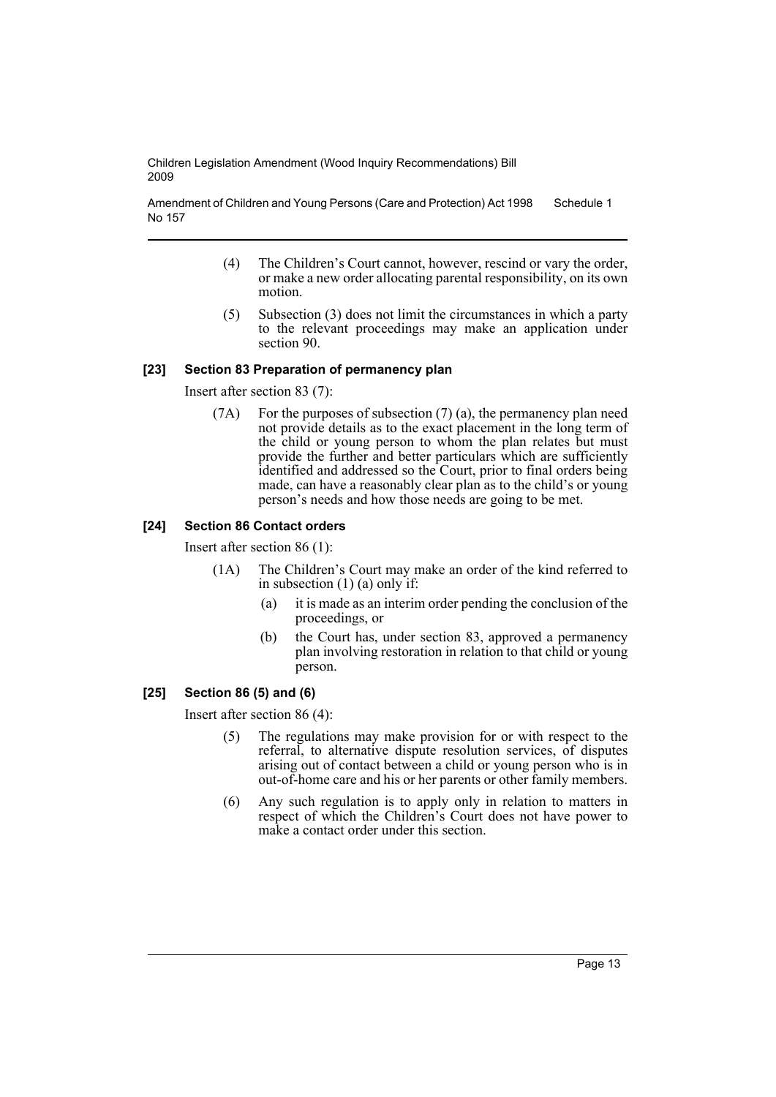Amendment of Children and Young Persons (Care and Protection) Act 1998 No 157 Schedule 1

- (4) The Children's Court cannot, however, rescind or vary the order, or make a new order allocating parental responsibility, on its own motion.
- (5) Subsection (3) does not limit the circumstances in which a party to the relevant proceedings may make an application under section 90.

### **[23] Section 83 Preparation of permanency plan**

Insert after section 83 (7):

(7A) For the purposes of subsection (7) (a), the permanency plan need not provide details as to the exact placement in the long term of the child or young person to whom the plan relates but must provide the further and better particulars which are sufficiently identified and addressed so the Court, prior to final orders being made, can have a reasonably clear plan as to the child's or young person's needs and how those needs are going to be met.

### **[24] Section 86 Contact orders**

Insert after section 86 (1):

- (1A) The Children's Court may make an order of the kind referred to in subsection (1) (a) only if:
	- (a) it is made as an interim order pending the conclusion of the proceedings, or
	- (b) the Court has, under section 83, approved a permanency plan involving restoration in relation to that child or young person.

# **[25] Section 86 (5) and (6)**

Insert after section 86 (4):

- (5) The regulations may make provision for or with respect to the referral, to alternative dispute resolution services, of disputes arising out of contact between a child or young person who is in out-of-home care and his or her parents or other family members.
- (6) Any such regulation is to apply only in relation to matters in respect of which the Children's Court does not have power to make a contact order under this section.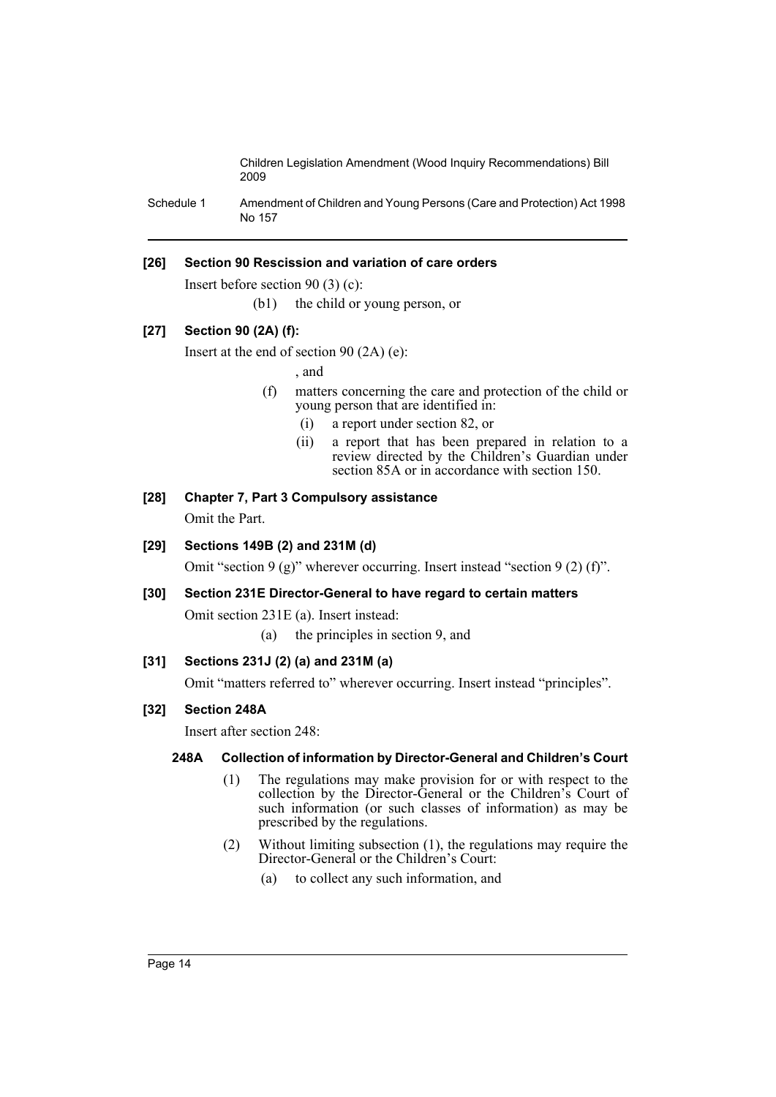Schedule 1 Amendment of Children and Young Persons (Care and Protection) Act 1998 No 157

# **[26] Section 90 Rescission and variation of care orders**

Insert before section 90 (3) (c):

(b1) the child or young person, or

# **[27] Section 90 (2A) (f):**

Insert at the end of section 90 (2A) (e):

, and

- (f) matters concerning the care and protection of the child or young person that are identified in:
	- (i) a report under section 82, or
	- (ii) a report that has been prepared in relation to a review directed by the Children's Guardian under section 85A or in accordance with section 150.

# **[28] Chapter 7, Part 3 Compulsory assistance**

Omit the Part.

# **[29] Sections 149B (2) and 231M (d)**

Omit "section 9 (g)" wherever occurring. Insert instead "section 9 (2) (f)".

# **[30] Section 231E Director-General to have regard to certain matters**

Omit section 231E (a). Insert instead:

(a) the principles in section 9, and

# **[31] Sections 231J (2) (a) and 231M (a)**

Omit "matters referred to" wherever occurring. Insert instead "principles".

# **[32] Section 248A**

Insert after section 248:

# **248A Collection of information by Director-General and Children's Court**

- (1) The regulations may make provision for or with respect to the collection by the Director-General or the Children's Court of such information (or such classes of information) as may be prescribed by the regulations.
- (2) Without limiting subsection (1), the regulations may require the Director-General or the Children's Court:
	- (a) to collect any such information, and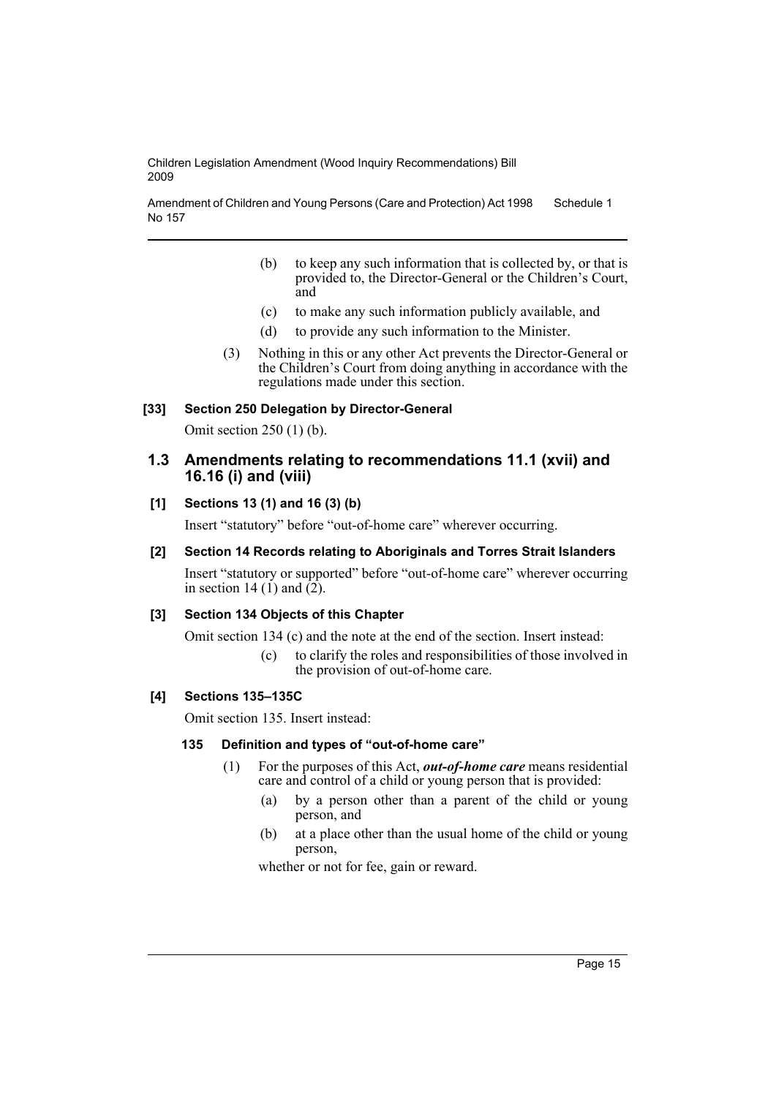Amendment of Children and Young Persons (Care and Protection) Act 1998 No 157 Schedule 1

- (b) to keep any such information that is collected by, or that is provided to, the Director-General or the Children's Court, and
- (c) to make any such information publicly available, and
- (d) to provide any such information to the Minister.
- (3) Nothing in this or any other Act prevents the Director-General or the Children's Court from doing anything in accordance with the regulations made under this section.

### **[33] Section 250 Delegation by Director-General**

Omit section 250 (1) (b).

# **1.3 Amendments relating to recommendations 11.1 (xvii) and 16.16 (i) and (viii)**

# **[1] Sections 13 (1) and 16 (3) (b)**

Insert "statutory" before "out-of-home care" wherever occurring.

### **[2] Section 14 Records relating to Aboriginals and Torres Strait Islanders**

Insert "statutory or supported" before "out-of-home care" wherever occurring in section 14 (1) and  $(2)$ .

# **[3] Section 134 Objects of this Chapter**

Omit section 134 (c) and the note at the end of the section. Insert instead:

(c) to clarify the roles and responsibilities of those involved in the provision of out-of-home care.

# **[4] Sections 135–135C**

Omit section 135. Insert instead:

#### **135 Definition and types of "out-of-home care"**

- (1) For the purposes of this Act, *out-of-home care* means residential care and control of a child or young person that is provided:
	- (a) by a person other than a parent of the child or young person, and
	- (b) at a place other than the usual home of the child or young person,

whether or not for fee, gain or reward.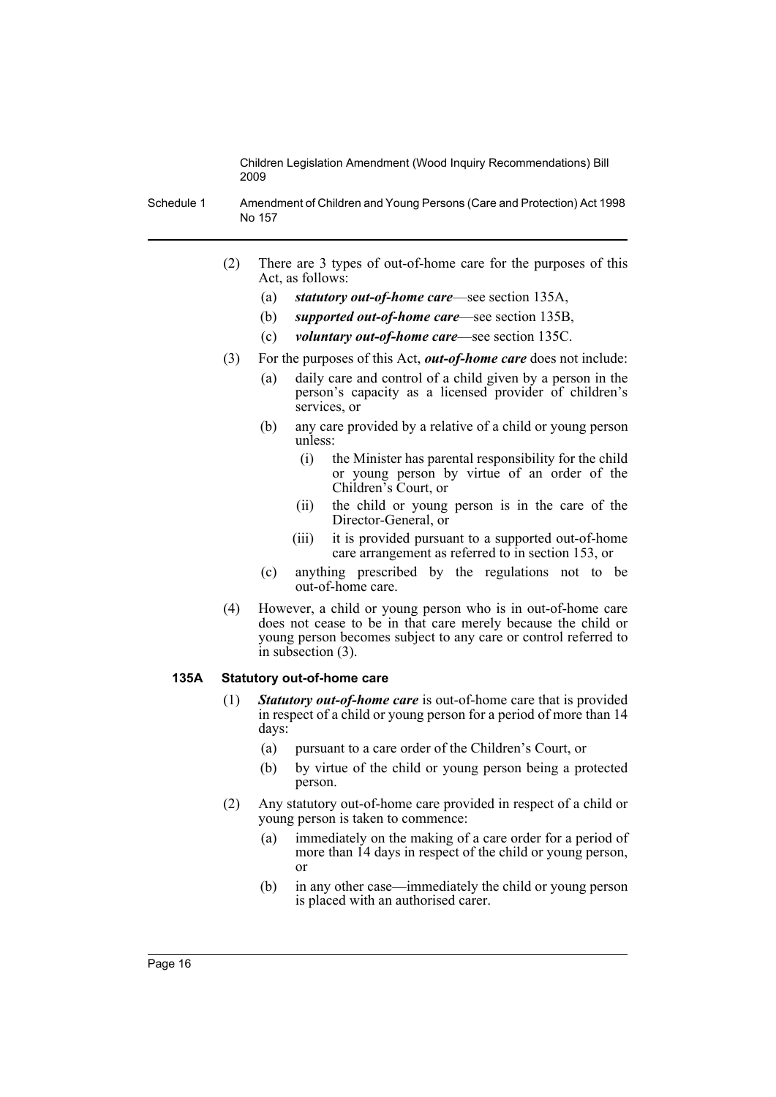Schedule 1 Amendment of Children and Young Persons (Care and Protection) Act 1998 No 157

- (2) There are 3 types of out-of-home care for the purposes of this Act, as follows:
	- (a) *statutory out-of-home care*—see section 135A,
	- (b) *supported out-of-home care*—see section 135B,
	- (c) *voluntary out-of-home care*—see section 135C.
- (3) For the purposes of this Act, *out-of-home care* does not include:
	- (a) daily care and control of a child given by a person in the person's capacity as a licensed provider of children's services, or
	- (b) any care provided by a relative of a child or young person unless:
		- (i) the Minister has parental responsibility for the child or young person by virtue of an order of the Children's Court, or
		- (ii) the child or young person is in the care of the Director-General, or
		- (iii) it is provided pursuant to a supported out-of-home care arrangement as referred to in section 153, or
	- (c) anything prescribed by the regulations not to be out-of-home care.
- (4) However, a child or young person who is in out-of-home care does not cease to be in that care merely because the child or young person becomes subject to any care or control referred to in subsection (3).

### **135A Statutory out-of-home care**

- (1) *Statutory out-of-home care* is out-of-home care that is provided in respect of a child or young person for a period of more than 14 days:
	- (a) pursuant to a care order of the Children's Court, or
	- (b) by virtue of the child or young person being a protected person.
- (2) Any statutory out-of-home care provided in respect of a child or young person is taken to commence:
	- (a) immediately on the making of a care order for a period of more than 14 days in respect of the child or young person, or
	- (b) in any other case—immediately the child or young person is placed with an authorised carer.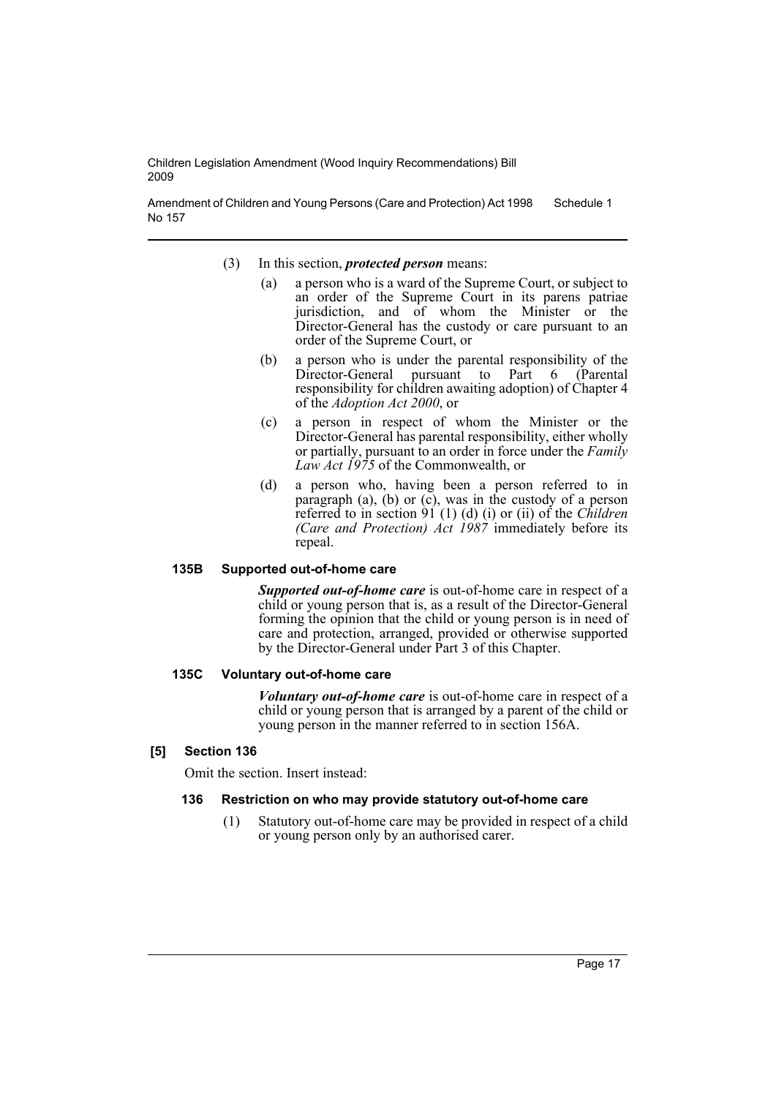Amendment of Children and Young Persons (Care and Protection) Act 1998 No 157 Schedule 1

- (3) In this section, *protected person* means:
	- (a) a person who is a ward of the Supreme Court, or subject to an order of the Supreme Court in its parens patriae jurisdiction, and of whom the Minister or the Director-General has the custody or care pursuant to an order of the Supreme Court, or
	- (b) a person who is under the parental responsibility of the Director-General pursuant to Part 6 (Parental responsibility for children awaiting adoption) of Chapter 4 of the *Adoption Act 2000*, or
	- (c) a person in respect of whom the Minister or the Director-General has parental responsibility, either wholly or partially, pursuant to an order in force under the *Family Law Act 1975* of the Commonwealth, or
	- (d) a person who, having been a person referred to in paragraph (a), (b) or  $(c)$ , was in the custody of a person referred to in section 91 (1) (d) (i) or (ii) of the *Children (Care and Protection) Act 1987* immediately before its repeal.

# **135B Supported out-of-home care**

*Supported out-of-home care* is out-of-home care in respect of a child or young person that is, as a result of the Director-General forming the opinion that the child or young person is in need of care and protection, arranged, provided or otherwise supported by the Director-General under Part 3 of this Chapter.

#### **135C Voluntary out-of-home care**

*Voluntary out-of-home care* is out-of-home care in respect of a child or young person that is arranged by a parent of the child or young person in the manner referred to in section 156A.

# **[5] Section 136**

Omit the section. Insert instead:

#### **136 Restriction on who may provide statutory out-of-home care**

(1) Statutory out-of-home care may be provided in respect of a child or young person only by an authorised carer.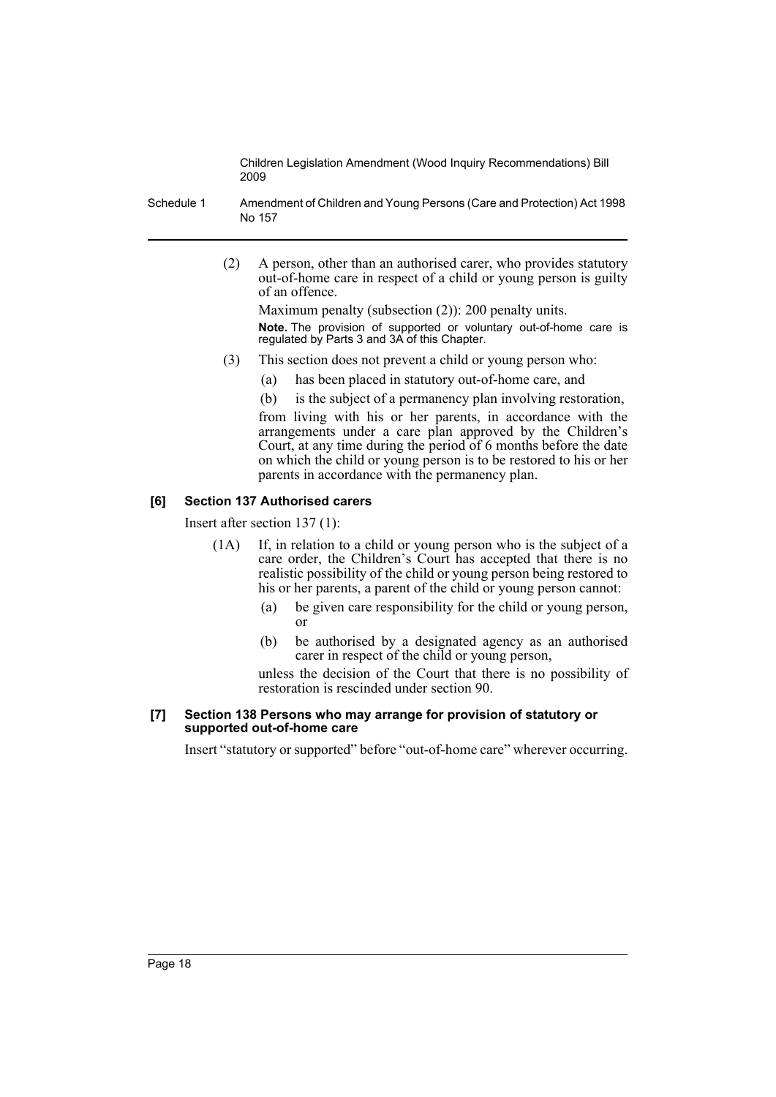Schedule 1 Amendment of Children and Young Persons (Care and Protection) Act 1998 No 157

> (2) A person, other than an authorised carer, who provides statutory out-of-home care in respect of a child or young person is guilty of an offence.

Maximum penalty (subsection (2)): 200 penalty units. **Note.** The provision of supported or voluntary out-of-home care is regulated by Parts 3 and 3A of this Chapter.

- (3) This section does not prevent a child or young person who:
	- (a) has been placed in statutory out-of-home care, and
		- (b) is the subject of a permanency plan involving restoration,

from living with his or her parents, in accordance with the arrangements under a care plan approved by the Children's Court, at any time during the period of 6 months before the date on which the child or young person is to be restored to his or her parents in accordance with the permanency plan.

# **[6] Section 137 Authorised carers**

Insert after section 137 (1):

- (1A) If, in relation to a child or young person who is the subject of a care order, the Children's Court has accepted that there is no realistic possibility of the child or young person being restored to his or her parents, a parent of the child or young person cannot:
	- (a) be given care responsibility for the child or young person, or
	- (b) be authorised by a designated agency as an authorised carer in respect of the child or young person,

unless the decision of the Court that there is no possibility of restoration is rescinded under section 90.

### **[7] Section 138 Persons who may arrange for provision of statutory or supported out-of-home care**

Insert "statutory or supported" before "out-of-home care" wherever occurring.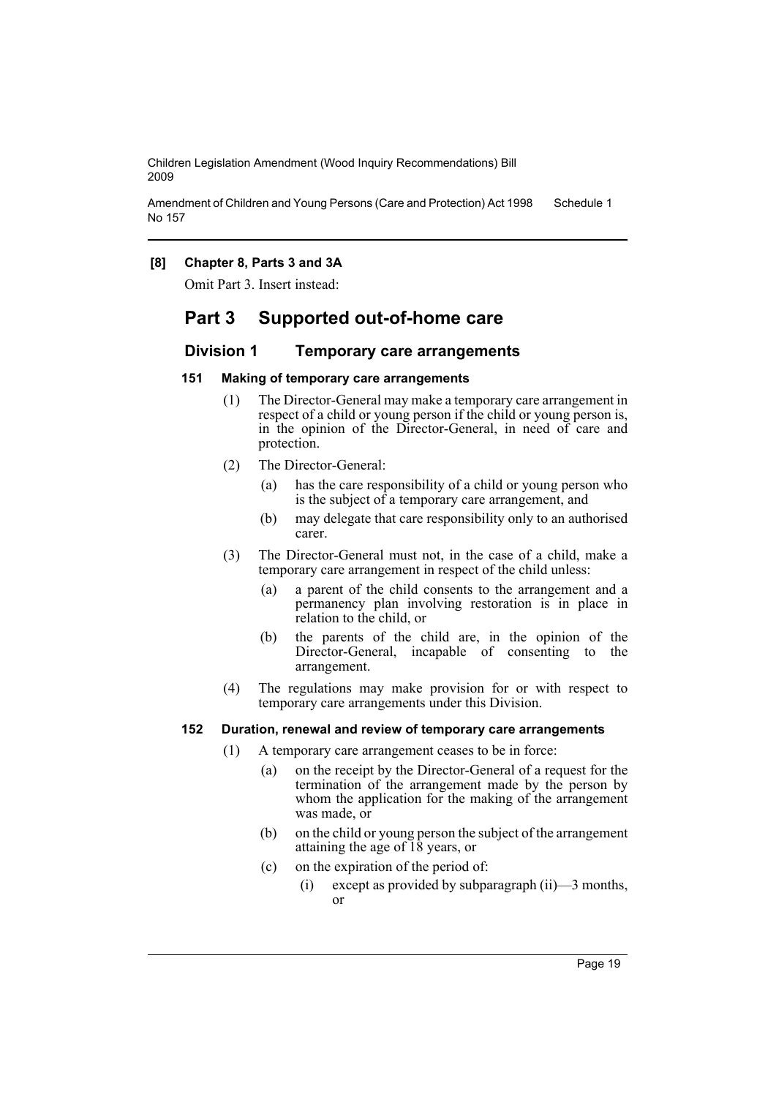Amendment of Children and Young Persons (Care and Protection) Act 1998 No 157 Schedule 1

# **[8] Chapter 8, Parts 3 and 3A**

Omit Part 3. Insert instead:

# **Part 3 Supported out-of-home care**

# **Division 1 Temporary care arrangements**

# **151 Making of temporary care arrangements**

- (1) The Director-General may make a temporary care arrangement in respect of a child or young person if the child or young person is, in the opinion of the Director-General, in need of care and protection.
- (2) The Director-General:
	- (a) has the care responsibility of a child or young person who is the subject of a temporary care arrangement, and
	- (b) may delegate that care responsibility only to an authorised carer.
- (3) The Director-General must not, in the case of a child, make a temporary care arrangement in respect of the child unless:
	- (a) a parent of the child consents to the arrangement and a permanency plan involving restoration is in place in relation to the child, or
	- (b) the parents of the child are, in the opinion of the Director-General, incapable of consenting to the arrangement.
- (4) The regulations may make provision for or with respect to temporary care arrangements under this Division.

# **152 Duration, renewal and review of temporary care arrangements**

- (1) A temporary care arrangement ceases to be in force:
	- (a) on the receipt by the Director-General of a request for the termination of the arrangement made by the person by whom the application for the making of the arrangement was made, or
	- (b) on the child or young person the subject of the arrangement attaining the age of 18 years, or
	- (c) on the expiration of the period of:
		- (i) except as provided by subparagraph (ii)—3 months, or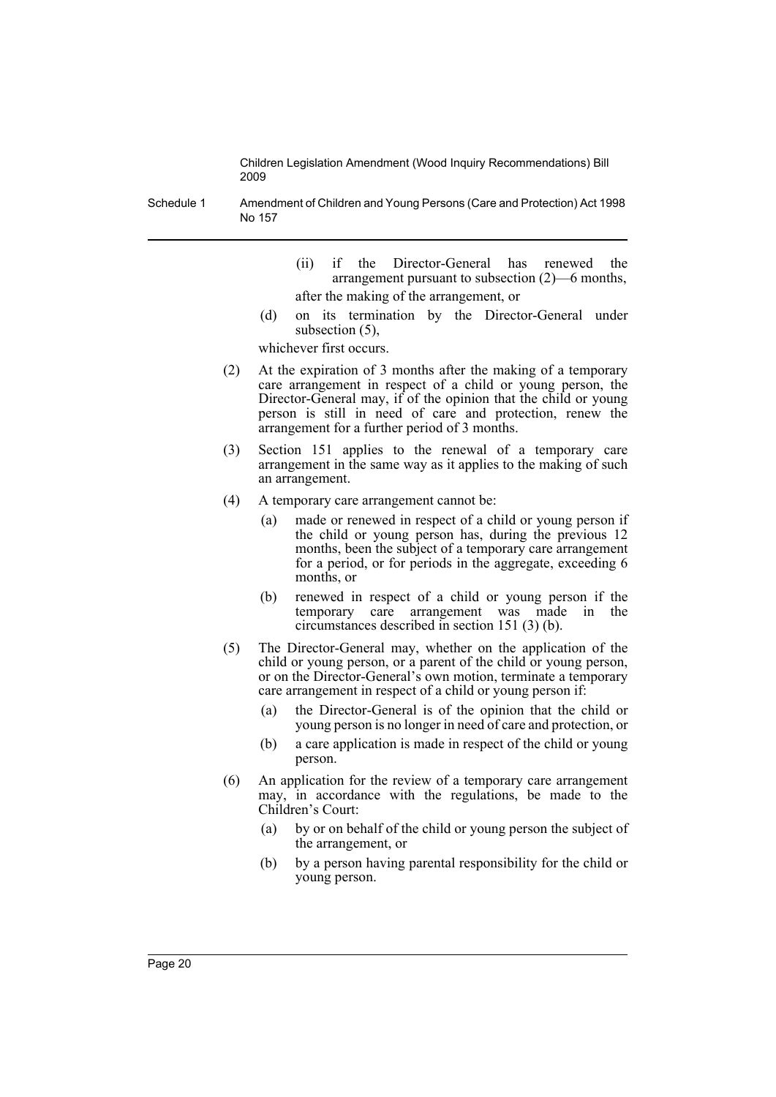Schedule 1 Amendment of Children and Young Persons (Care and Protection) Act 1998 No 157

- (ii) if the Director-General has renewed the arrangement pursuant to subsection (2)—6 months, after the making of the arrangement, or
- (d) on its termination by the Director-General under subsection (5),

whichever first occurs.

- (2) At the expiration of 3 months after the making of a temporary care arrangement in respect of a child or young person, the Director-General may, if of the opinion that the child or young person is still in need of care and protection, renew the arrangement for a further period of 3 months.
- (3) Section 151 applies to the renewal of a temporary care arrangement in the same way as it applies to the making of such an arrangement.
- (4) A temporary care arrangement cannot be:
	- (a) made or renewed in respect of a child or young person if the child or young person has, during the previous 12 months, been the subject of a temporary care arrangement for a period, or for periods in the aggregate, exceeding 6 months, or
	- (b) renewed in respect of a child or young person if the temporary care arrangement was made in the circumstances described in section 151 (3) (b).
- (5) The Director-General may, whether on the application of the child or young person, or a parent of the child or young person, or on the Director-General's own motion, terminate a temporary care arrangement in respect of a child or young person if:
	- (a) the Director-General is of the opinion that the child or young person is no longer in need of care and protection, or
	- (b) a care application is made in respect of the child or young person.
- (6) An application for the review of a temporary care arrangement may, in accordance with the regulations, be made to the Children's Court:
	- (a) by or on behalf of the child or young person the subject of the arrangement, or
	- (b) by a person having parental responsibility for the child or young person.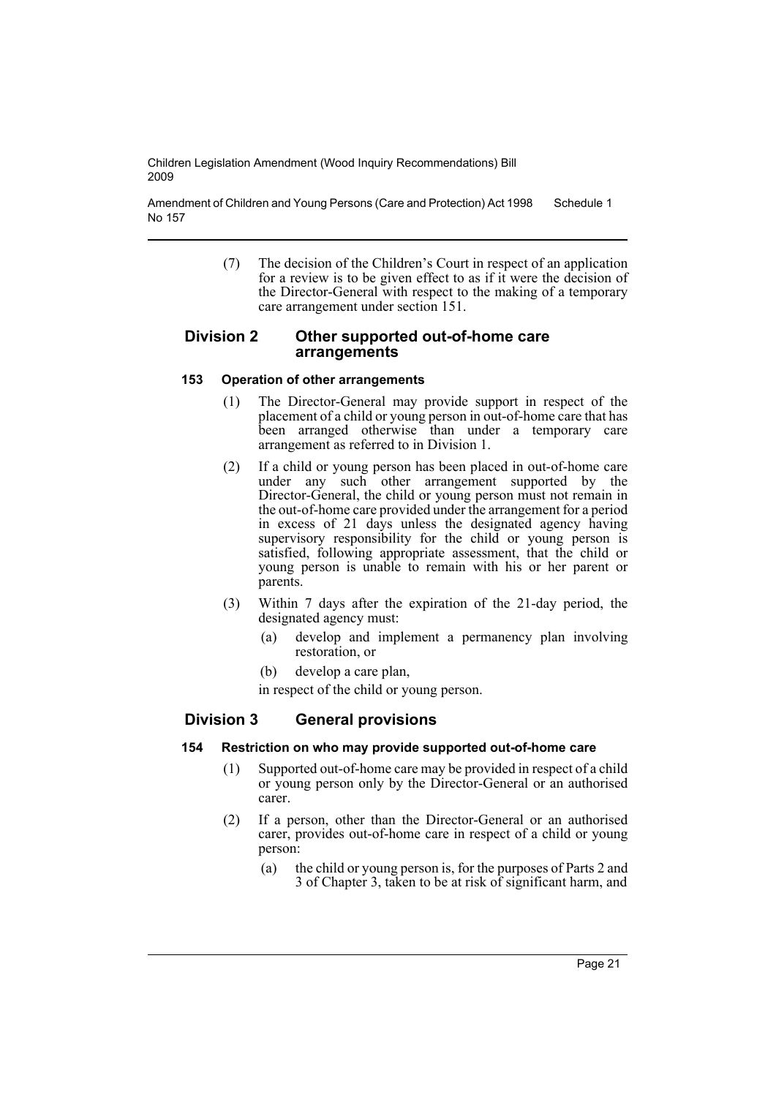Amendment of Children and Young Persons (Care and Protection) Act 1998 No 157 Schedule 1

> (7) The decision of the Children's Court in respect of an application for a review is to be given effect to as if it were the decision of the Director-General with respect to the making of a temporary care arrangement under section 151.

# **Division 2 Other supported out-of-home care arrangements**

# **153 Operation of other arrangements**

- (1) The Director-General may provide support in respect of the placement of a child or young person in out-of-home care that has been arranged otherwise than under a temporary care arrangement as referred to in Division 1.
- (2) If a child or young person has been placed in out-of-home care under any such other arrangement supported by the Director-General, the child or young person must not remain in the out-of-home care provided under the arrangement for a period in excess of 21 days unless the designated agency having supervisory responsibility for the child or young person is satisfied, following appropriate assessment, that the child or young person is unable to remain with his or her parent or parents.
- (3) Within 7 days after the expiration of the 21-day period, the designated agency must:
	- (a) develop and implement a permanency plan involving restoration, or
	- (b) develop a care plan,

in respect of the child or young person.

# **Division 3 General provisions**

# **154 Restriction on who may provide supported out-of-home care**

- (1) Supported out-of-home care may be provided in respect of a child or young person only by the Director-General or an authorised carer.
- (2) If a person, other than the Director-General or an authorised carer, provides out-of-home care in respect of a child or young person:
	- (a) the child or young person is, for the purposes of Parts 2 and 3 of Chapter 3, taken to be at risk of significant harm, and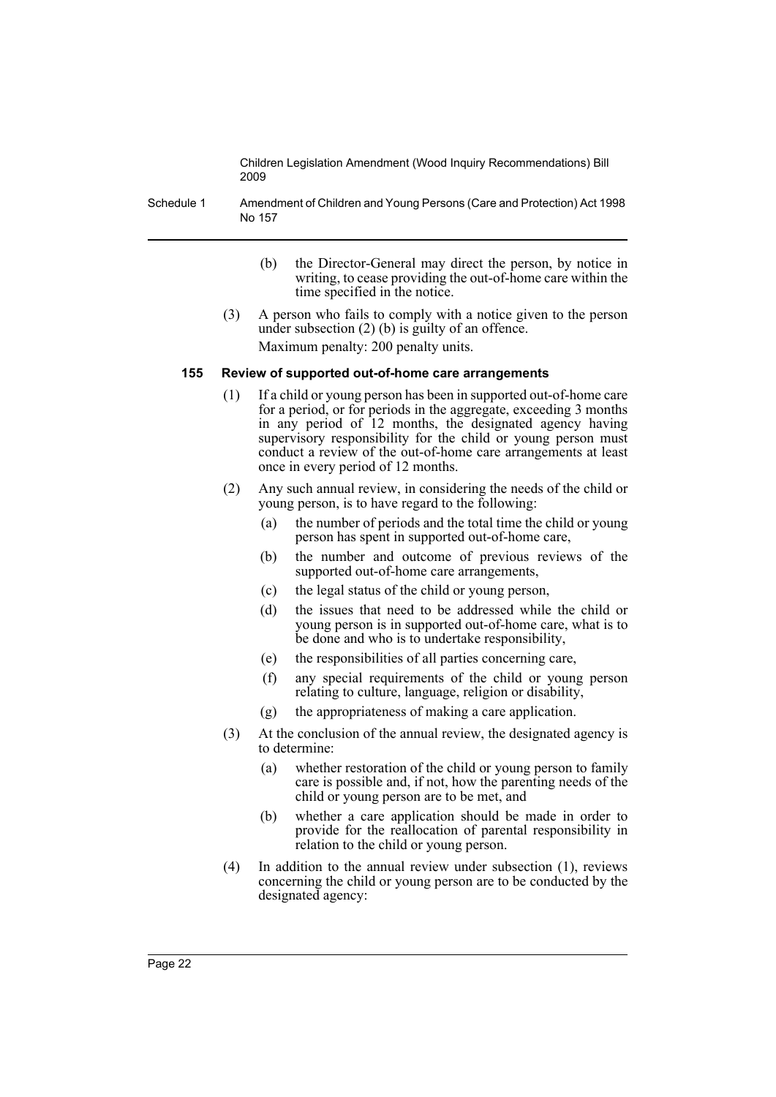Schedule 1 Amendment of Children and Young Persons (Care and Protection) Act 1998 No 157

- (b) the Director-General may direct the person, by notice in writing, to cease providing the out-of-home care within the time specified in the notice.
- (3) A person who fails to comply with a notice given to the person under subsection (2) (b) is guilty of an offence. Maximum penalty: 200 penalty units.

#### **155 Review of supported out-of-home care arrangements**

- (1) If a child or young person has been in supported out-of-home care for a period, or for periods in the aggregate, exceeding 3 months in any period of 12 months, the designated agency having supervisory responsibility for the child or young person must conduct a review of the out-of-home care arrangements at least once in every period of 12 months.
- (2) Any such annual review, in considering the needs of the child or young person, is to have regard to the following:
	- (a) the number of periods and the total time the child or young person has spent in supported out-of-home care,
	- (b) the number and outcome of previous reviews of the supported out-of-home care arrangements,
	- (c) the legal status of the child or young person,
	- (d) the issues that need to be addressed while the child or young person is in supported out-of-home care, what is to be done and who is to undertake responsibility,
	- (e) the responsibilities of all parties concerning care,
	- (f) any special requirements of the child or young person relating to culture, language, religion or disability,
	- (g) the appropriateness of making a care application.
- (3) At the conclusion of the annual review, the designated agency is to determine:
	- (a) whether restoration of the child or young person to family care is possible and, if not, how the parenting needs of the child or young person are to be met, and
	- (b) whether a care application should be made in order to provide for the reallocation of parental responsibility in relation to the child or young person.
- (4) In addition to the annual review under subsection (1), reviews concerning the child or young person are to be conducted by the designated agency: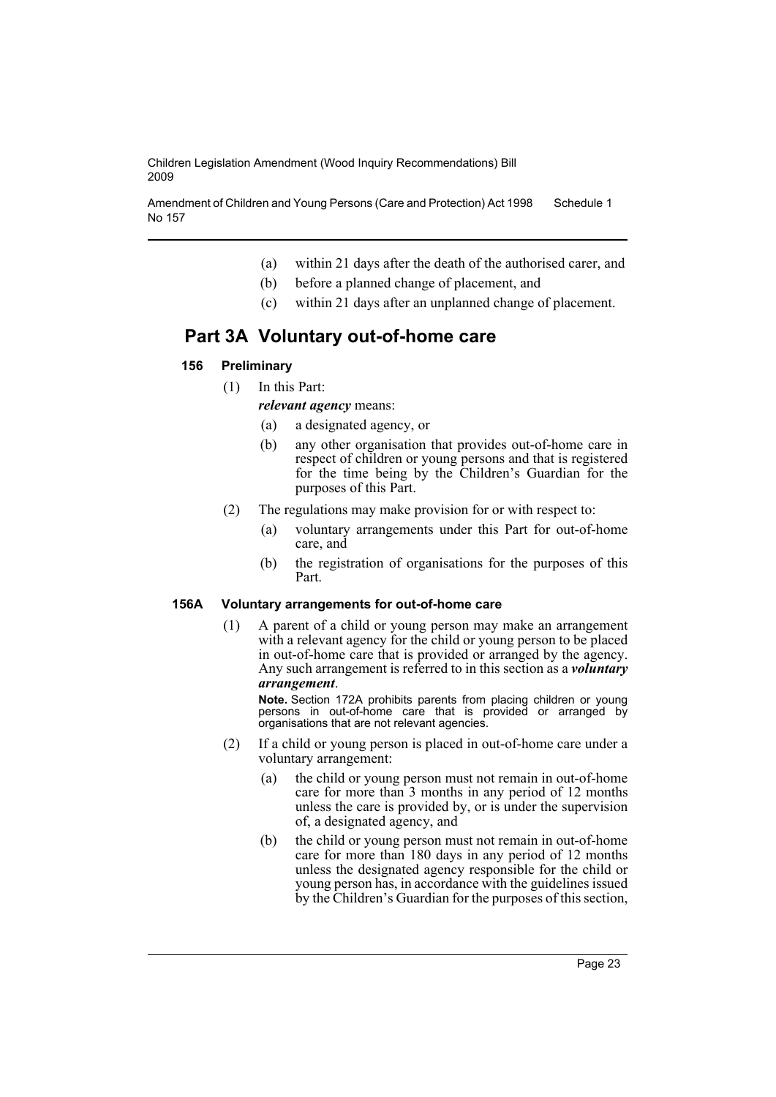Amendment of Children and Young Persons (Care and Protection) Act 1998 No 157 Schedule 1

- (a) within 21 days after the death of the authorised carer, and
- (b) before a planned change of placement, and
- (c) within 21 days after an unplanned change of placement.

# **Part 3A Voluntary out-of-home care**

# **156 Preliminary**

(1) In this Part:

*relevant agency* means:

- (a) a designated agency, or
- (b) any other organisation that provides out-of-home care in respect of children or young persons and that is registered for the time being by the Children's Guardian for the purposes of this Part.
- (2) The regulations may make provision for or with respect to:
	- (a) voluntary arrangements under this Part for out-of-home care, and
	- (b) the registration of organisations for the purposes of this Part.

# **156A Voluntary arrangements for out-of-home care**

(1) A parent of a child or young person may make an arrangement with a relevant agency for the child or young person to be placed in out-of-home care that is provided or arranged by the agency. Any such arrangement is referred to in this section as a *voluntary arrangement*.

**Note.** Section 172A prohibits parents from placing children or young persons in out-of-home care that is provided or arranged by organisations that are not relevant agencies.

- (2) If a child or young person is placed in out-of-home care under a voluntary arrangement:
	- (a) the child or young person must not remain in out-of-home care for more than 3 months in any period of 12 months unless the care is provided by, or is under the supervision of, a designated agency, and
	- (b) the child or young person must not remain in out-of-home care for more than 180 days in any period of 12 months unless the designated agency responsible for the child or young person has, in accordance with the guidelines issued by the Children's Guardian for the purposes of this section,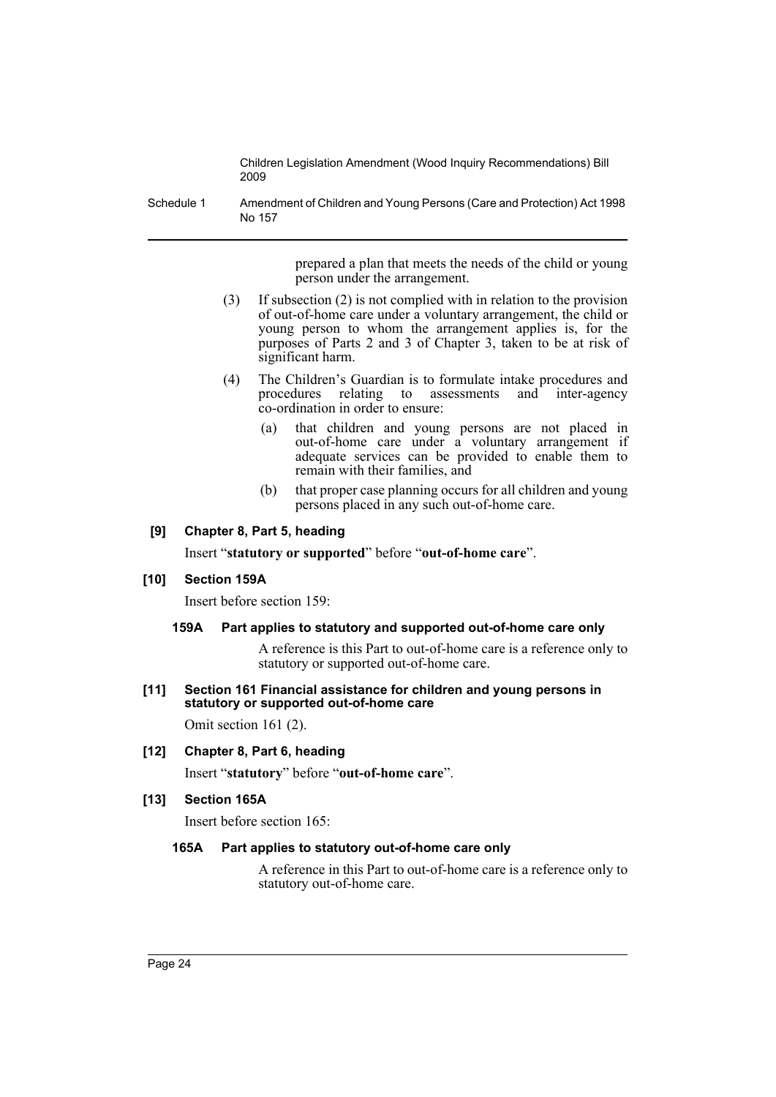Schedule 1 Amendment of Children and Young Persons (Care and Protection) Act 1998 No 157

> prepared a plan that meets the needs of the child or young person under the arrangement.

- (3) If subsection (2) is not complied with in relation to the provision of out-of-home care under a voluntary arrangement, the child or young person to whom the arrangement applies is, for the purposes of Parts 2 and 3 of Chapter 3, taken to be at risk of significant harm.
- (4) The Children's Guardian is to formulate intake procedures and procedures relating to assessments and inter-agency co-ordination in order to ensure:
	- (a) that children and young persons are not placed in out-of-home care under a voluntary arrangement if adequate services can be provided to enable them to remain with their families, and
	- (b) that proper case planning occurs for all children and young persons placed in any such out-of-home care.

# **[9] Chapter 8, Part 5, heading**

Insert "**statutory or supported**" before "**out-of-home care**".

### **[10] Section 159A**

Insert before section 159:

#### **159A Part applies to statutory and supported out-of-home care only**

A reference is this Part to out-of-home care is a reference only to statutory or supported out-of-home care.

**[11] Section 161 Financial assistance for children and young persons in statutory or supported out-of-home care**

Omit section 161 (2).

# **[12] Chapter 8, Part 6, heading**

Insert "**statutory**" before "**out-of-home care**".

# **[13] Section 165A**

Insert before section 165:

#### **165A Part applies to statutory out-of-home care only**

A reference in this Part to out-of-home care is a reference only to statutory out-of-home care.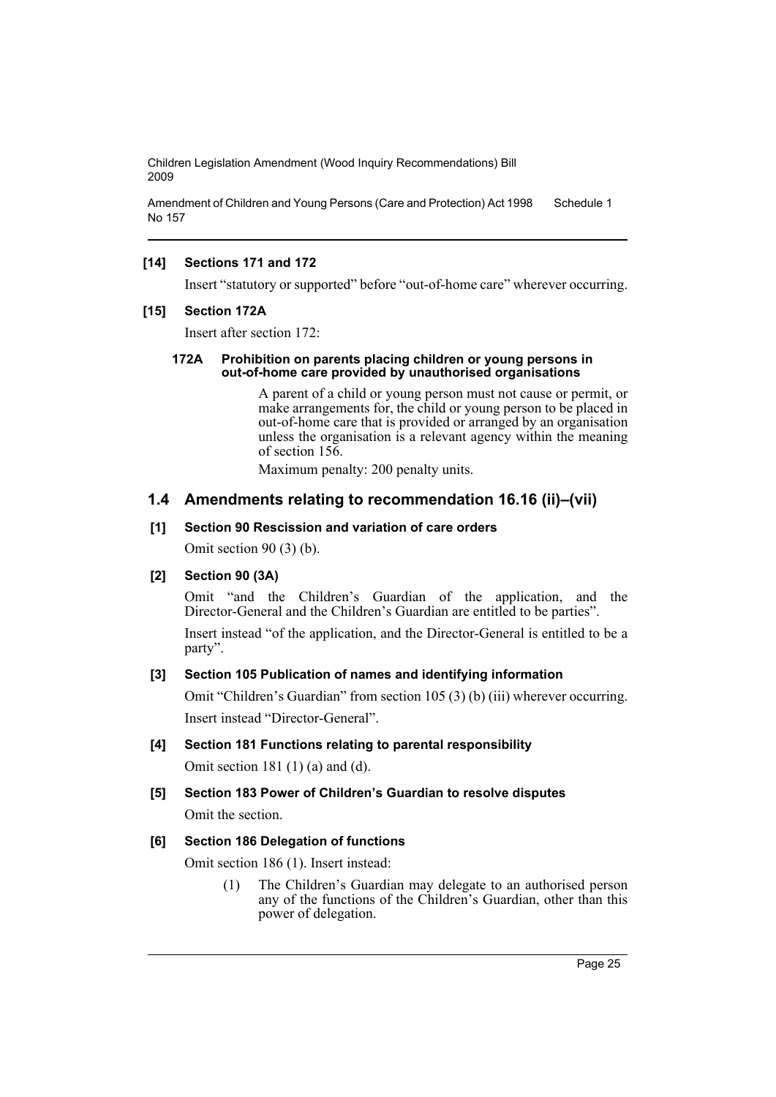Amendment of Children and Young Persons (Care and Protection) Act 1998 No 157 Schedule 1

# **[14] Sections 171 and 172**

Insert "statutory or supported" before "out-of-home care" wherever occurring.

### **[15] Section 172A**

Insert after section 172:

#### **172A Prohibition on parents placing children or young persons in out-of-home care provided by unauthorised organisations**

A parent of a child or young person must not cause or permit, or make arrangements for, the child or young person to be placed in out-of-home care that is provided or arranged by an organisation unless the organisation is a relevant agency within the meaning of section 156.

Maximum penalty: 200 penalty units.

# **1.4 Amendments relating to recommendation 16.16 (ii)–(vii)**

#### **[1] Section 90 Rescission and variation of care orders**

Omit section 90 (3) (b).

### **[2] Section 90 (3A)**

Omit "and the Children's Guardian of the application, and the Director-General and the Children's Guardian are entitled to be parties".

Insert instead "of the application, and the Director-General is entitled to be a party".

### **[3] Section 105 Publication of names and identifying information**

Omit "Children's Guardian" from section 105 (3) (b) (iii) wherever occurring. Insert instead "Director-General".

#### **[4] Section 181 Functions relating to parental responsibility**

Omit section 181 (1) (a) and (d).

### **[5] Section 183 Power of Children's Guardian to resolve disputes**

Omit the section.

### **[6] Section 186 Delegation of functions**

Omit section 186 (1). Insert instead:

(1) The Children's Guardian may delegate to an authorised person any of the functions of the Children's Guardian, other than this power of delegation.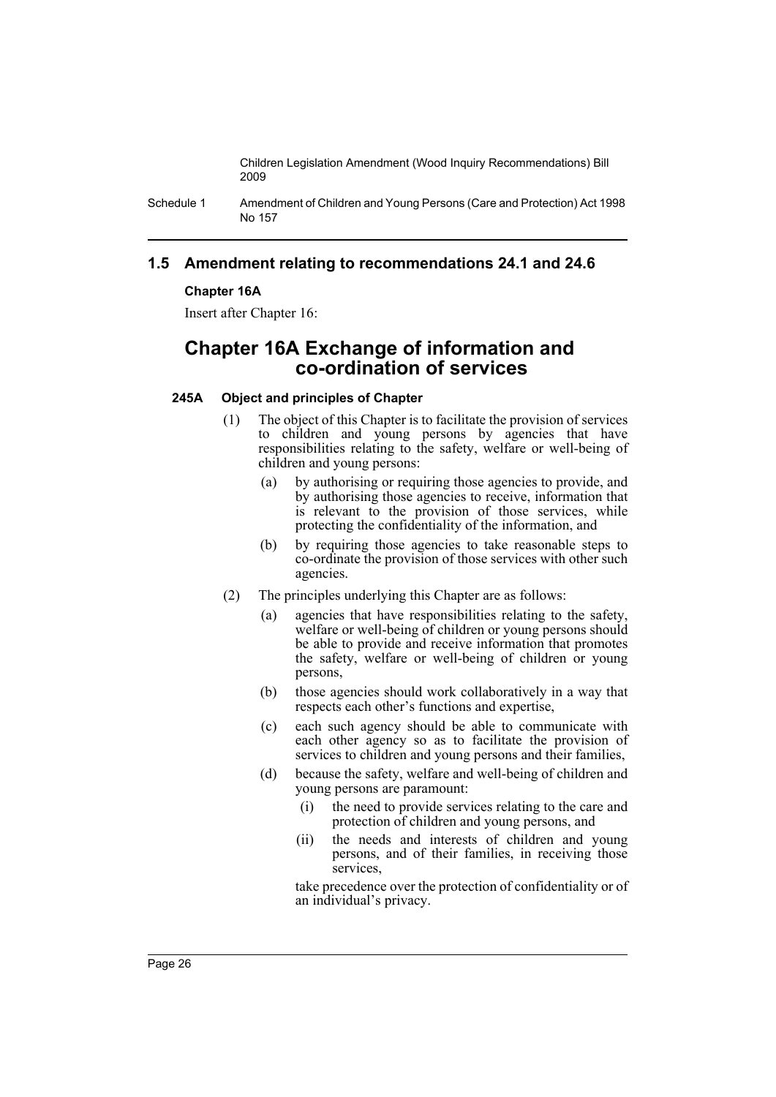Schedule 1 Amendment of Children and Young Persons (Care and Protection) Act 1998 No 157

# **1.5 Amendment relating to recommendations 24.1 and 24.6**

# **Chapter 16A**

Insert after Chapter 16:

# **Chapter 16A Exchange of information and co-ordination of services**

# **245A Object and principles of Chapter**

- (1) The object of this Chapter is to facilitate the provision of services to children and young persons by agencies that have responsibilities relating to the safety, welfare or well-being of children and young persons:
	- (a) by authorising or requiring those agencies to provide, and by authorising those agencies to receive, information that is relevant to the provision of those services, while protecting the confidentiality of the information, and
	- (b) by requiring those agencies to take reasonable steps to co-ordinate the provision of those services with other such agencies.
- (2) The principles underlying this Chapter are as follows:
	- (a) agencies that have responsibilities relating to the safety, welfare or well-being of children or young persons should be able to provide and receive information that promotes the safety, welfare or well-being of children or young persons,
	- (b) those agencies should work collaboratively in a way that respects each other's functions and expertise,
	- (c) each such agency should be able to communicate with each other agency so as to facilitate the provision of services to children and young persons and their families,
	- (d) because the safety, welfare and well-being of children and young persons are paramount:
		- (i) the need to provide services relating to the care and protection of children and young persons, and
		- (ii) the needs and interests of children and young persons, and of their families, in receiving those services,

take precedence over the protection of confidentiality or of an individual's privacy.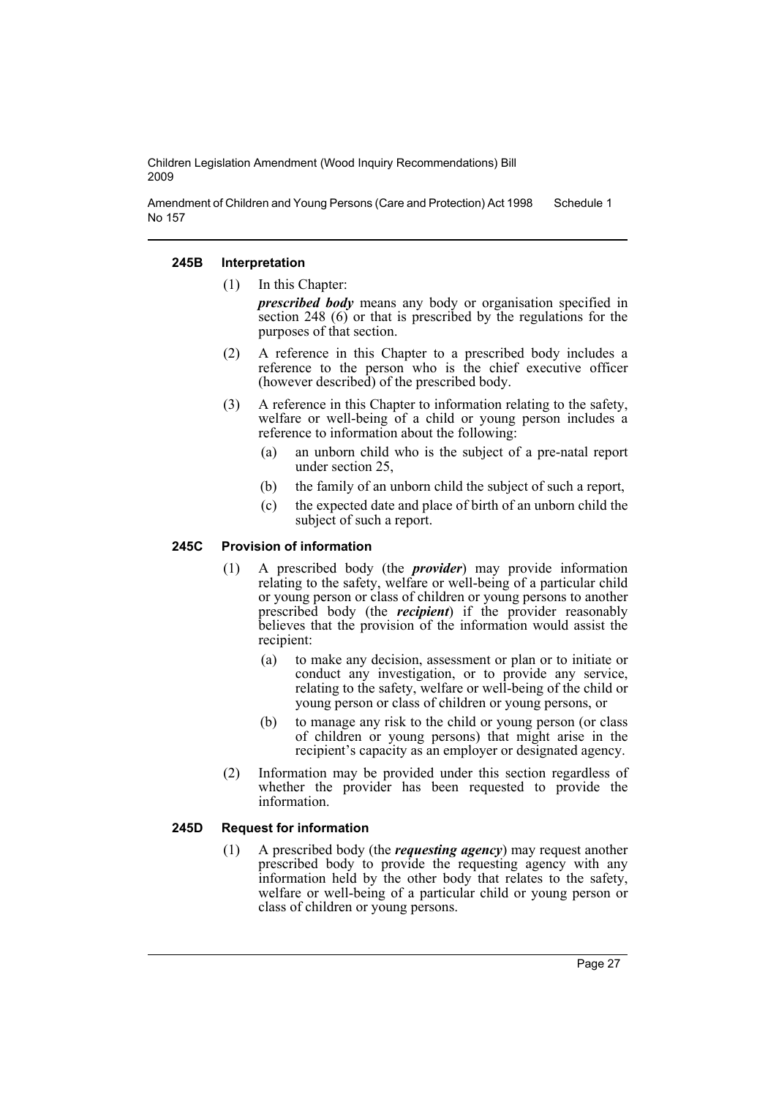Amendment of Children and Young Persons (Care and Protection) Act 1998 No 157 Schedule 1

### **245B Interpretation**

(1) In this Chapter:

*prescribed body* means any body or organisation specified in section 248 (6) or that is prescribed by the regulations for the purposes of that section.

- (2) A reference in this Chapter to a prescribed body includes a reference to the person who is the chief executive officer (however described) of the prescribed body.
- (3) A reference in this Chapter to information relating to the safety, welfare or well-being of a child or young person includes a reference to information about the following:
	- (a) an unborn child who is the subject of a pre-natal report under section 25,
	- (b) the family of an unborn child the subject of such a report,
	- (c) the expected date and place of birth of an unborn child the subject of such a report.

# **245C Provision of information**

- (1) A prescribed body (the *provider*) may provide information relating to the safety, welfare or well-being of a particular child or young person or class of children or young persons to another prescribed body (the *recipient*) if the provider reasonably believes that the provision of the information would assist the recipient:
	- (a) to make any decision, assessment or plan or to initiate or conduct any investigation, or to provide any service, relating to the safety, welfare or well-being of the child or young person or class of children or young persons, or
	- (b) to manage any risk to the child or young person (or class of children or young persons) that might arise in the recipient's capacity as an employer or designated agency.
- (2) Information may be provided under this section regardless of whether the provider has been requested to provide the information.

#### **245D Request for information**

(1) A prescribed body (the *requesting agency*) may request another prescribed body to provide the requesting agency with any information held by the other body that relates to the safety, welfare or well-being of a particular child or young person or class of children or young persons.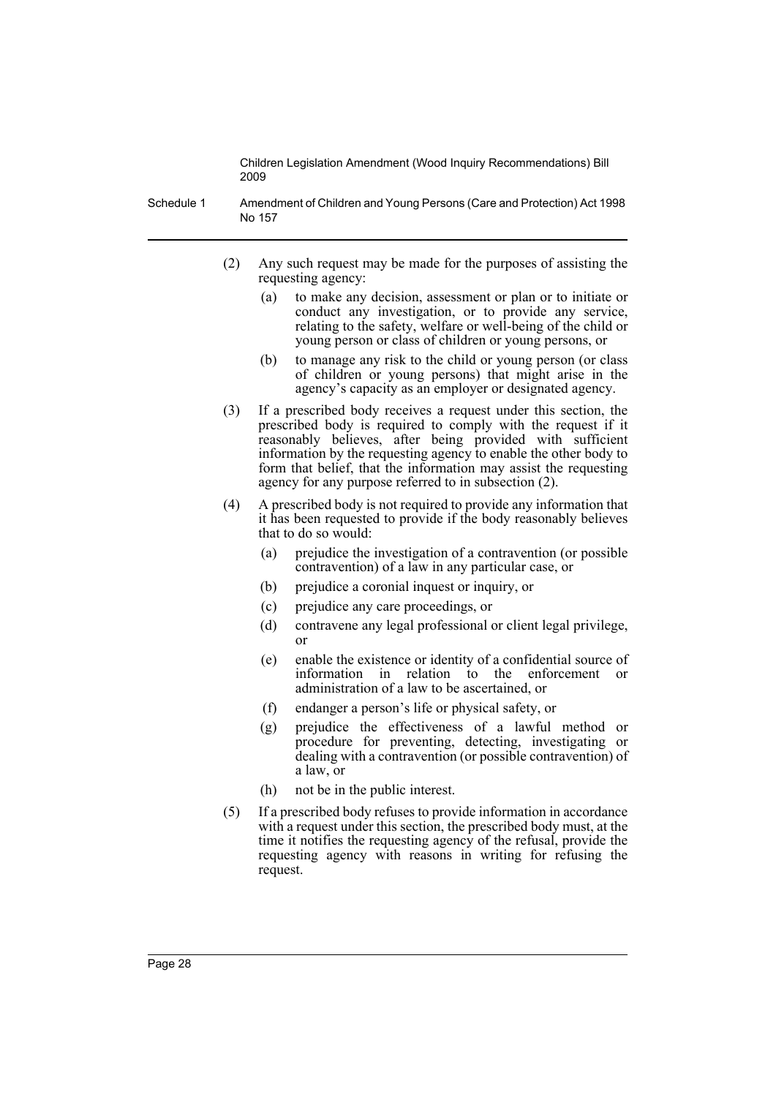Schedule 1 Amendment of Children and Young Persons (Care and Protection) Act 1998 No 157

- (2) Any such request may be made for the purposes of assisting the requesting agency:
	- (a) to make any decision, assessment or plan or to initiate or conduct any investigation, or to provide any service, relating to the safety, welfare or well-being of the child or young person or class of children or young persons, or
	- (b) to manage any risk to the child or young person (or class of children or young persons) that might arise in the agency's capacity as an employer or designated agency.
- (3) If a prescribed body receives a request under this section, the prescribed body is required to comply with the request if it reasonably believes, after being provided with sufficient information by the requesting agency to enable the other body to form that belief, that the information may assist the requesting agency for any purpose referred to in subsection (2).
- (4) A prescribed body is not required to provide any information that it has been requested to provide if the body reasonably believes that to do so would:
	- (a) prejudice the investigation of a contravention (or possible contravention) of a law in any particular case, or
	- (b) prejudice a coronial inquest or inquiry, or
	- (c) prejudice any care proceedings, or
	- (d) contravene any legal professional or client legal privilege, or
	- (e) enable the existence or identity of a confidential source of information in relation to the enforcement or administration of a law to be ascertained, or
	- (f) endanger a person's life or physical safety, or
	- (g) prejudice the effectiveness of a lawful method or procedure for preventing, detecting, investigating or dealing with a contravention (or possible contravention) of a law, or
	- (h) not be in the public interest.
- (5) If a prescribed body refuses to provide information in accordance with a request under this section, the prescribed body must, at the time it notifies the requesting agency of the refusal, provide the requesting agency with reasons in writing for refusing the request.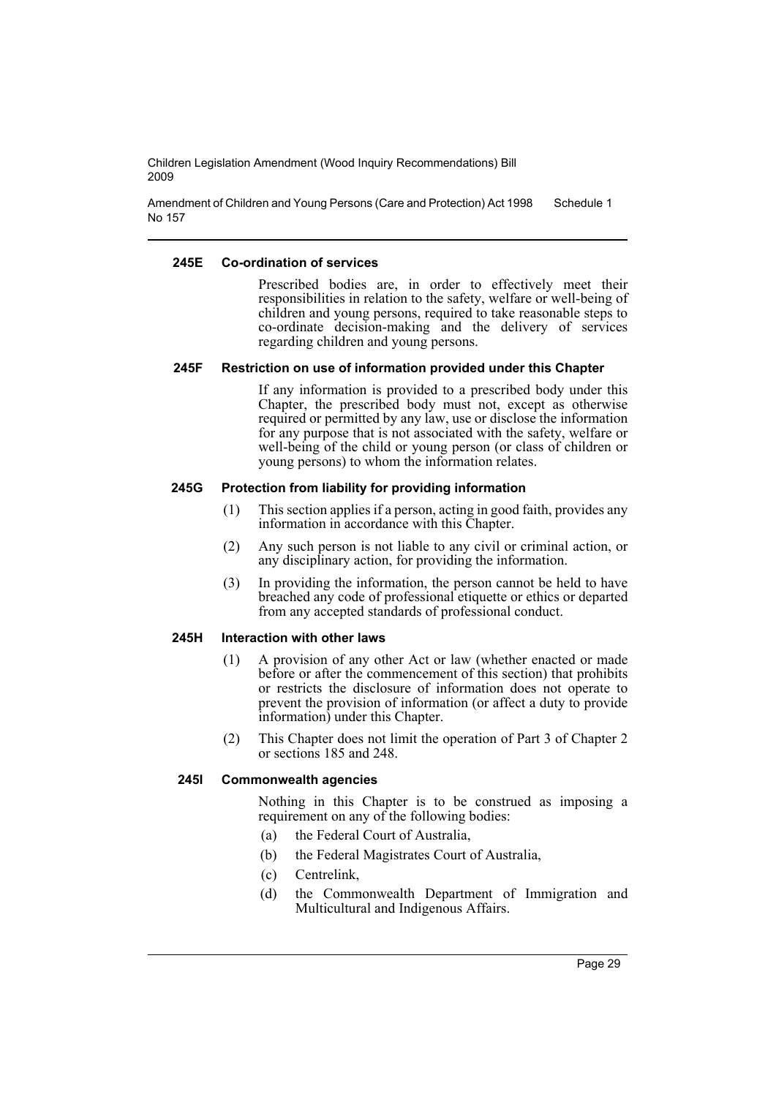Amendment of Children and Young Persons (Care and Protection) Act 1998 No 157 Schedule 1

### **245E Co-ordination of services**

Prescribed bodies are, in order to effectively meet their responsibilities in relation to the safety, welfare or well-being of children and young persons, required to take reasonable steps to co-ordinate decision-making and the delivery of services regarding children and young persons.

### **245F Restriction on use of information provided under this Chapter**

If any information is provided to a prescribed body under this Chapter, the prescribed body must not, except as otherwise required or permitted by any law, use or disclose the information for any purpose that is not associated with the safety, welfare or well-being of the child or young person (or class of children or young persons) to whom the information relates.

### **245G Protection from liability for providing information**

- (1) This section applies if a person, acting in good faith, provides any information in accordance with this Chapter.
- (2) Any such person is not liable to any civil or criminal action, or any disciplinary action, for providing the information.
- (3) In providing the information, the person cannot be held to have breached any code of professional etiquette or ethics or departed from any accepted standards of professional conduct.

# **245H Interaction with other laws**

- (1) A provision of any other Act or law (whether enacted or made before or after the commencement of this section) that prohibits or restricts the disclosure of information does not operate to prevent the provision of information (or affect a duty to provide information) under this Chapter.
- (2) This Chapter does not limit the operation of Part 3 of Chapter 2 or sections 185 and 248.

#### **245I Commonwealth agencies**

Nothing in this Chapter is to be construed as imposing a requirement on any of the following bodies:

- (a) the Federal Court of Australia,
- (b) the Federal Magistrates Court of Australia,
- (c) Centrelink,
- (d) the Commonwealth Department of Immigration and Multicultural and Indigenous Affairs.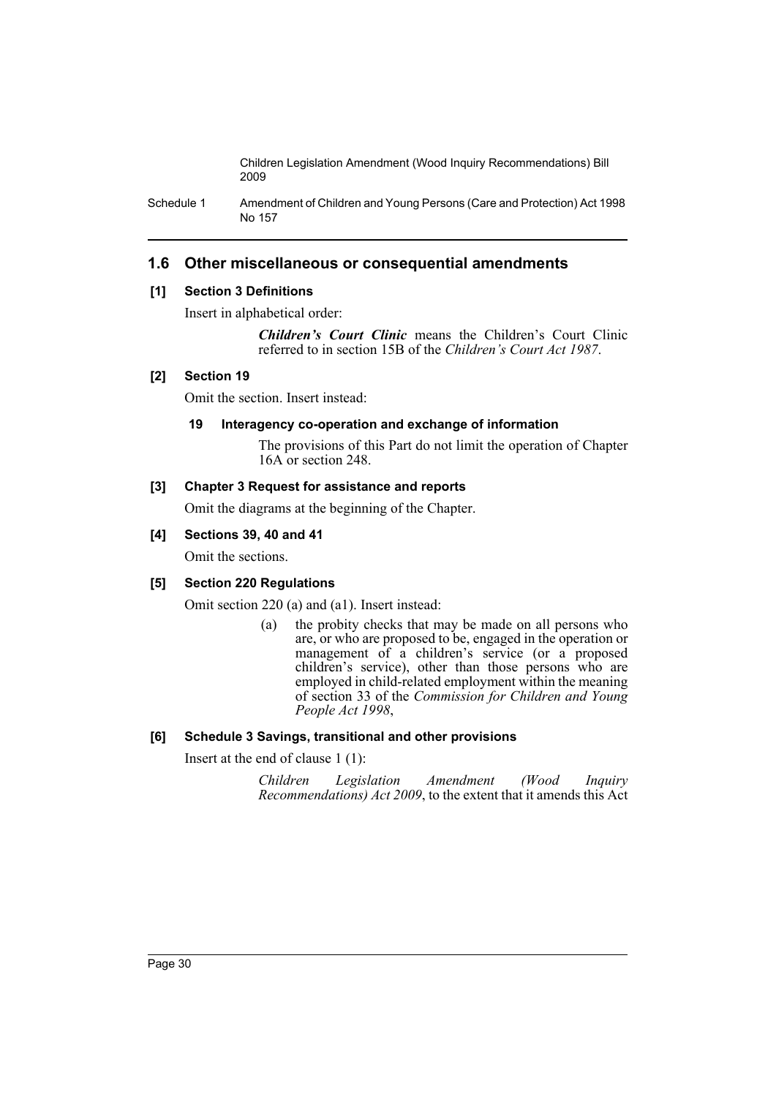Schedule 1 Amendment of Children and Young Persons (Care and Protection) Act 1998 No 157

# **1.6 Other miscellaneous or consequential amendments**

# **[1] Section 3 Definitions**

Insert in alphabetical order:

*Children's Court Clinic* means the Children's Court Clinic referred to in section 15B of the *Children's Court Act 1987*.

# **[2] Section 19**

Omit the section. Insert instead:

# **19 Interagency co-operation and exchange of information**

The provisions of this Part do not limit the operation of Chapter 16A or section 248.

# **[3] Chapter 3 Request for assistance and reports**

Omit the diagrams at the beginning of the Chapter.

# **[4] Sections 39, 40 and 41**

Omit the sections.

# **[5] Section 220 Regulations**

Omit section 220 (a) and (a1). Insert instead:

(a) the probity checks that may be made on all persons who are, or who are proposed to be, engaged in the operation or management of a children's service (or a proposed children's service), other than those persons who are employed in child-related employment within the meaning of section 33 of the *Commission for Children and Young People Act 1998*,

# **[6] Schedule 3 Savings, transitional and other provisions**

Insert at the end of clause 1 (1):

*Children Legislation Amendment (Wood Inquiry Recommendations) Act 2009*, to the extent that it amends this Act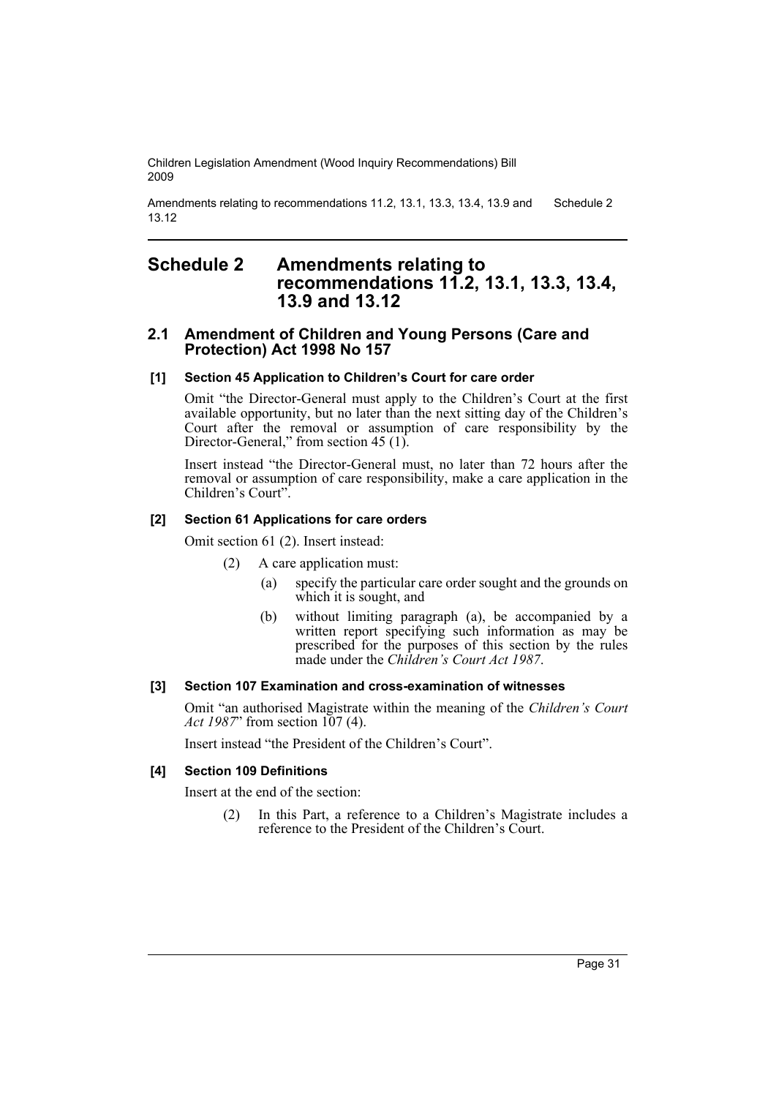Amendments relating to recommendations 11.2, 13.1, 13.3, 13.4, 13.9 and 13.12 Schedule 2

# <span id="page-32-0"></span>**Schedule 2 Amendments relating to recommendations 11.2, 13.1, 13.3, 13.4, 13.9 and 13.12**

# **2.1 Amendment of Children and Young Persons (Care and Protection) Act 1998 No 157**

### **[1] Section 45 Application to Children's Court for care order**

Omit "the Director-General must apply to the Children's Court at the first available opportunity, but no later than the next sitting day of the Children's Court after the removal or assumption of care responsibility by the Director-General," from section 45 (1).

Insert instead "the Director-General must, no later than 72 hours after the removal or assumption of care responsibility, make a care application in the Children's Court".

### **[2] Section 61 Applications for care orders**

Omit section 61 (2). Insert instead:

- (2) A care application must:
	- (a) specify the particular care order sought and the grounds on which it is sought, and
	- (b) without limiting paragraph (a), be accompanied by a written report specifying such information as may be prescribed for the purposes of this section by the rules made under the *Children's Court Act 1987*.

### **[3] Section 107 Examination and cross-examination of witnesses**

Omit "an authorised Magistrate within the meaning of the *Children's Court Act 1987*" from section 107 (4).

Insert instead "the President of the Children's Court".

# **[4] Section 109 Definitions**

Insert at the end of the section:

(2) In this Part, a reference to a Children's Magistrate includes a reference to the President of the Children's Court.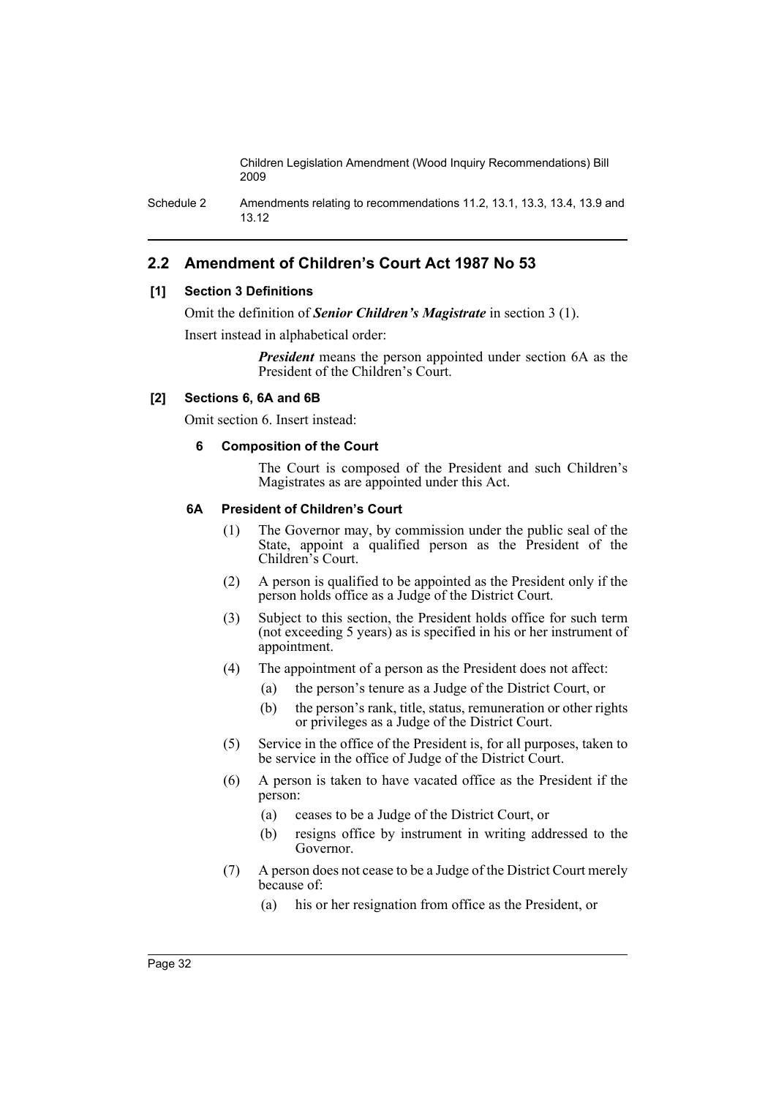Schedule 2 Amendments relating to recommendations 11.2, 13.1, 13.3, 13.4, 13.9 and 13.12

# **2.2 Amendment of Children's Court Act 1987 No 53**

# **[1] Section 3 Definitions**

Omit the definition of *Senior Children's Magistrate* in section 3 (1).

Insert instead in alphabetical order:

*President* means the person appointed under section 6A as the President of the Children's Court.

# **[2] Sections 6, 6A and 6B**

Omit section 6. Insert instead:

# **6 Composition of the Court**

The Court is composed of the President and such Children's Magistrates as are appointed under this Act.

# **6A President of Children's Court**

- (1) The Governor may, by commission under the public seal of the State, appoint a qualified person as the President of the Children's Court.
- (2) A person is qualified to be appointed as the President only if the person holds office as a Judge of the District Court.
- (3) Subject to this section, the President holds office for such term (not exceeding 5 years) as is specified in his or her instrument of appointment.
- (4) The appointment of a person as the President does not affect:
	- (a) the person's tenure as a Judge of the District Court, or
	- (b) the person's rank, title, status, remuneration or other rights or privileges as a Judge of the District Court.
- (5) Service in the office of the President is, for all purposes, taken to be service in the office of Judge of the District Court.
- (6) A person is taken to have vacated office as the President if the person:
	- (a) ceases to be a Judge of the District Court, or
	- (b) resigns office by instrument in writing addressed to the Governor.
- (7) A person does not cease to be a Judge of the District Court merely because of:
	- (a) his or her resignation from office as the President, or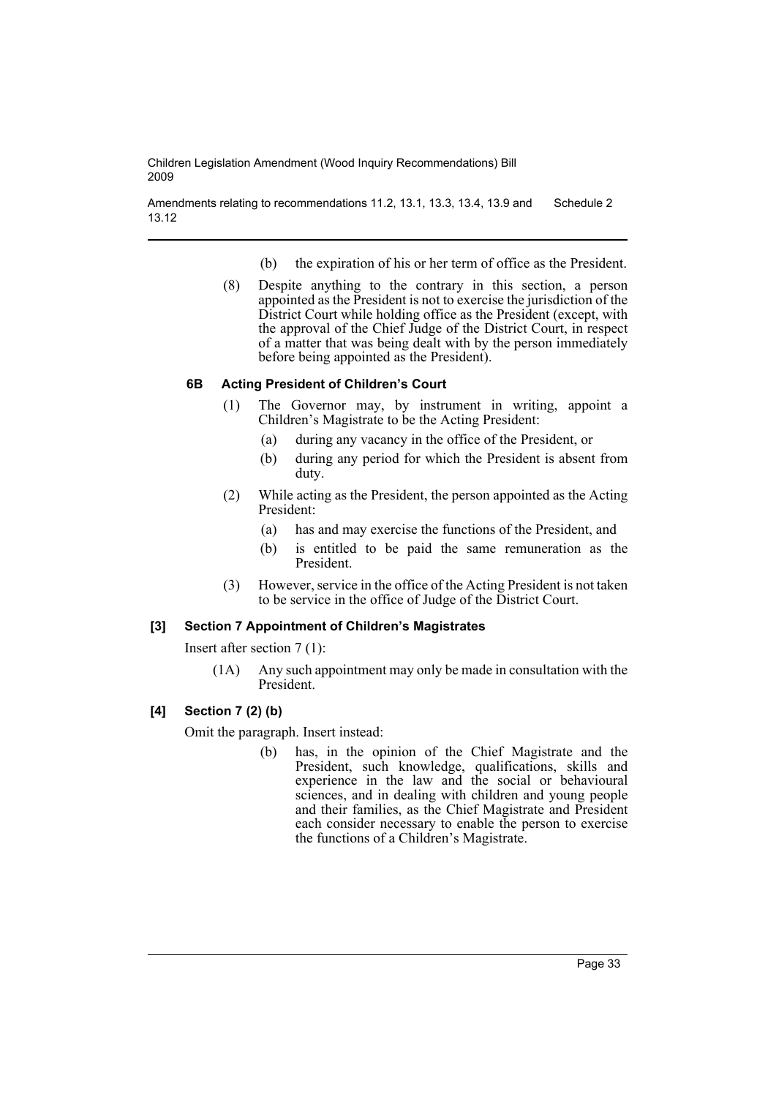Amendments relating to recommendations 11.2, 13.1, 13.3, 13.4, 13.9 and 13.12 Schedule 2

- (b) the expiration of his or her term of office as the President.
- (8) Despite anything to the contrary in this section, a person appointed as the President is not to exercise the jurisdiction of the District Court while holding office as the President (except, with the approval of the Chief Judge of the District Court, in respect of a matter that was being dealt with by the person immediately before being appointed as the President).

# **6B Acting President of Children's Court**

- (1) The Governor may, by instrument in writing, appoint a Children's Magistrate to be the Acting President:
	- (a) during any vacancy in the office of the President, or
	- (b) during any period for which the President is absent from duty.
- (2) While acting as the President, the person appointed as the Acting President:
	- (a) has and may exercise the functions of the President, and
	- (b) is entitled to be paid the same remuneration as the President.
- (3) However, service in the office of the Acting President is not taken to be service in the office of Judge of the District Court.

# **[3] Section 7 Appointment of Children's Magistrates**

Insert after section 7 (1):

(1A) Any such appointment may only be made in consultation with the President.

# **[4] Section 7 (2) (b)**

Omit the paragraph. Insert instead:

(b) has, in the opinion of the Chief Magistrate and the President, such knowledge, qualifications, skills and experience in the law and the social or behavioural sciences, and in dealing with children and young people and their families, as the Chief Magistrate and President each consider necessary to enable the person to exercise the functions of a Children's Magistrate.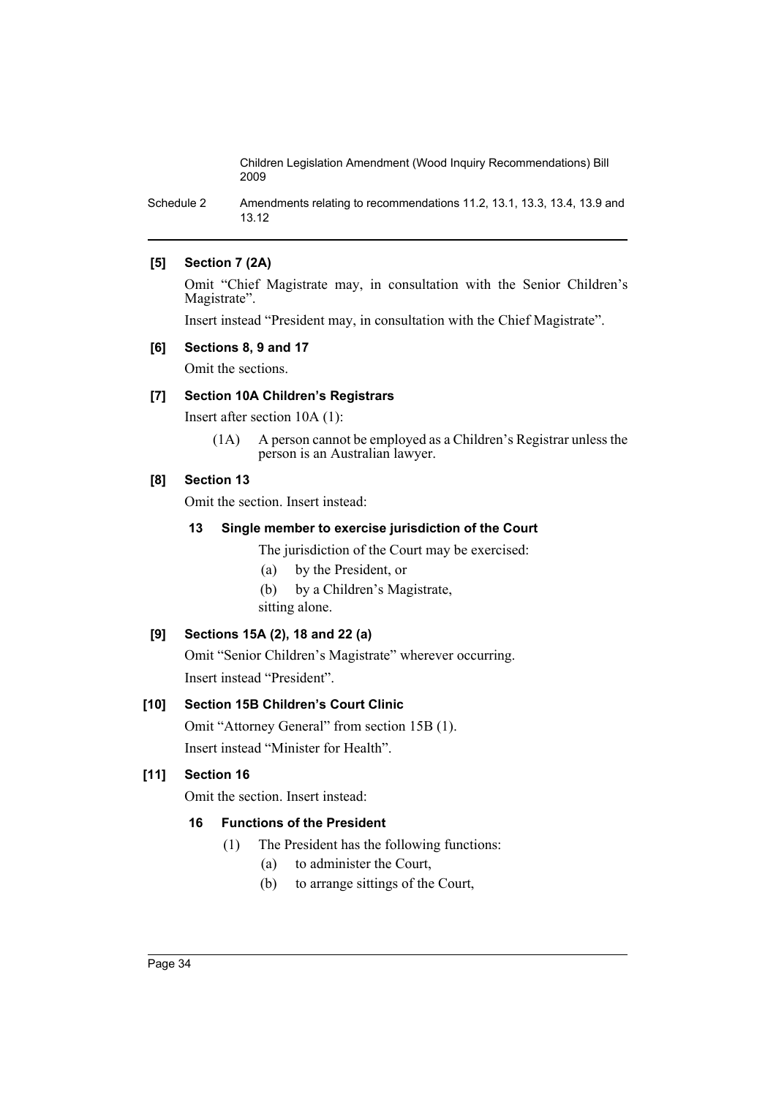Schedule 2 Amendments relating to recommendations 11.2, 13.1, 13.3, 13.4, 13.9 and 13.12

# **[5] Section 7 (2A)**

Omit "Chief Magistrate may, in consultation with the Senior Children's Magistrate".

Insert instead "President may, in consultation with the Chief Magistrate".

### **[6] Sections 8, 9 and 17**

Omit the sections.

# **[7] Section 10A Children's Registrars**

Insert after section 10A (1):

(1A) A person cannot be employed as a Children's Registrar unless the person is an Australian lawyer.

# **[8] Section 13**

Omit the section. Insert instead:

### **13 Single member to exercise jurisdiction of the Court**

The jurisdiction of the Court may be exercised:

- (a) by the President, or
- (b) by a Children's Magistrate, sitting alone.

# **[9] Sections 15A (2), 18 and 22 (a)**

Omit "Senior Children's Magistrate" wherever occurring. Insert instead "President".

# **[10] Section 15B Children's Court Clinic**

Omit "Attorney General" from section 15B (1). Insert instead "Minister for Health".

# **[11] Section 16**

Omit the section. Insert instead:

# **16 Functions of the President**

- (1) The President has the following functions:
	- (a) to administer the Court,
	- (b) to arrange sittings of the Court,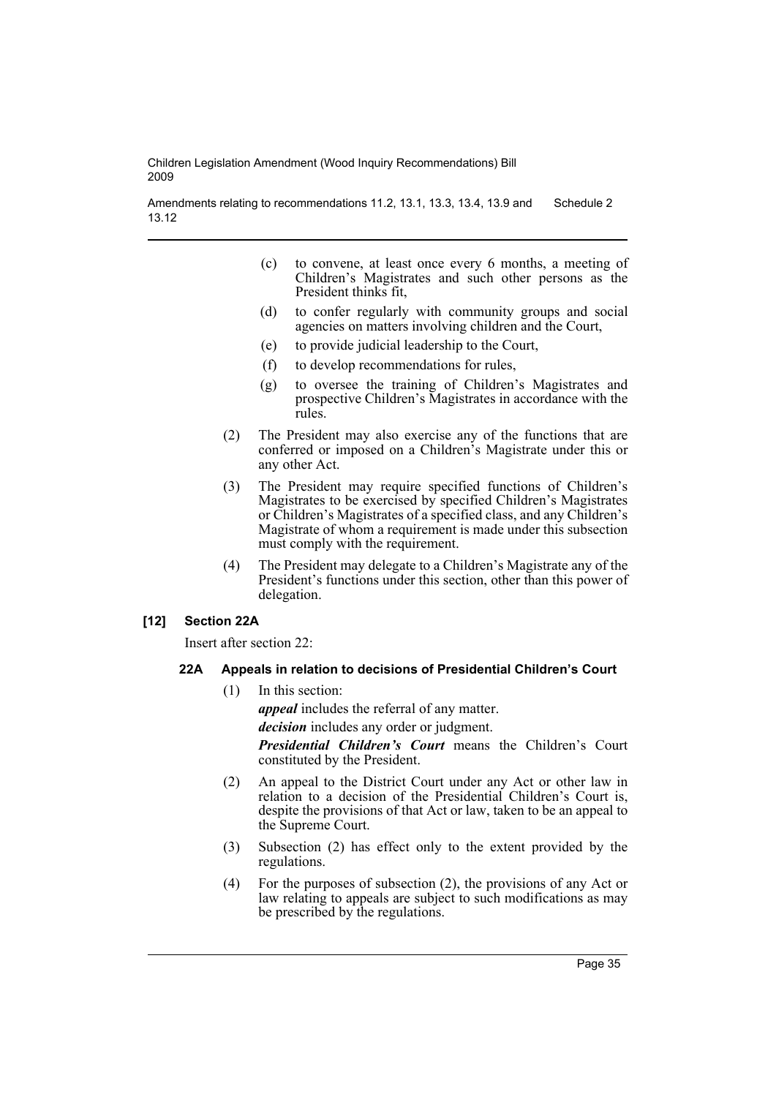Amendments relating to recommendations 11.2, 13.1, 13.3, 13.4, 13.9 and 13.12 Schedule 2

- (c) to convene, at least once every 6 months, a meeting of Children's Magistrates and such other persons as the President thinks fit,
- (d) to confer regularly with community groups and social agencies on matters involving children and the Court,
- (e) to provide judicial leadership to the Court,
- (f) to develop recommendations for rules,
- (g) to oversee the training of Children's Magistrates and prospective Children's Magistrates in accordance with the rules.
- (2) The President may also exercise any of the functions that are conferred or imposed on a Children's Magistrate under this or any other Act.
- (3) The President may require specified functions of Children's Magistrates to be exercised by specified Children's Magistrates or Children's Magistrates of a specified class, and any Children's Magistrate of whom a requirement is made under this subsection must comply with the requirement.
- (4) The President may delegate to a Children's Magistrate any of the President's functions under this section, other than this power of delegation.

# **[12] Section 22A**

Insert after section 22:

# **22A Appeals in relation to decisions of Presidential Children's Court**

(1) In this section:

*appeal* includes the referral of any matter.

*decision* includes any order or judgment.

*Presidential Children's Court* means the Children's Court constituted by the President.

- (2) An appeal to the District Court under any Act or other law in relation to a decision of the Presidential Children's Court is, despite the provisions of that Act or law, taken to be an appeal to the Supreme Court.
- (3) Subsection (2) has effect only to the extent provided by the regulations.
- (4) For the purposes of subsection (2), the provisions of any Act or law relating to appeals are subject to such modifications as may be prescribed by the regulations.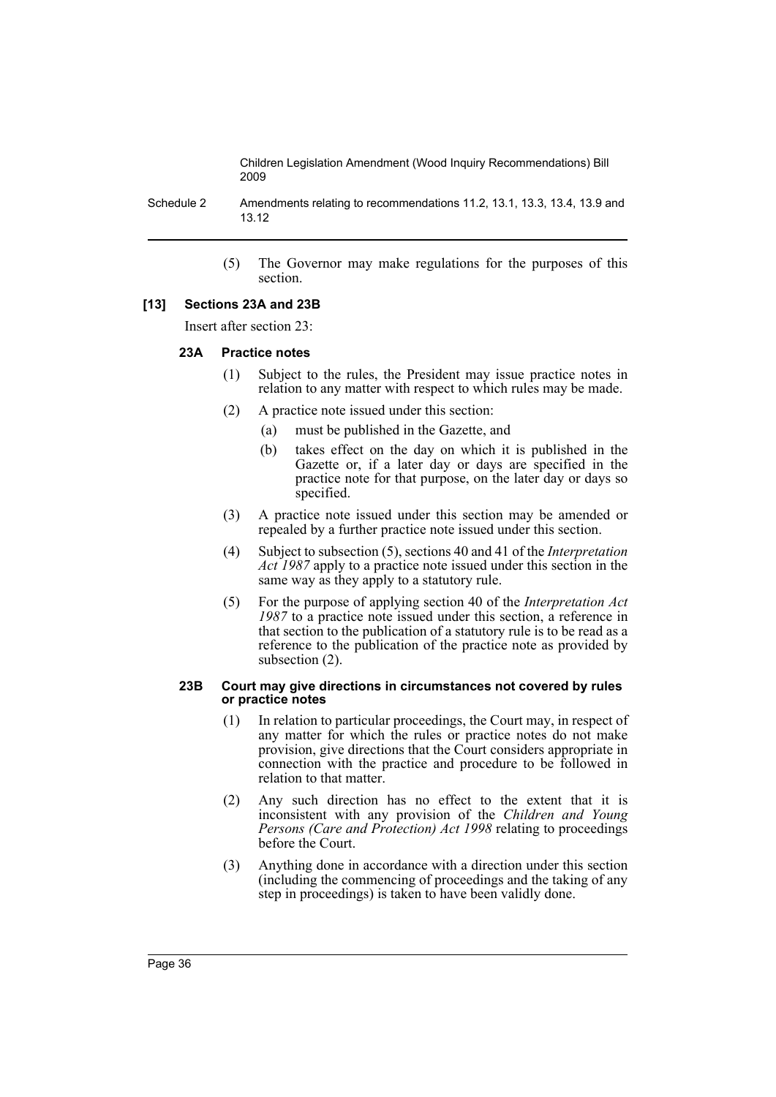Schedule 2 Amendments relating to recommendations 11.2, 13.1, 13.3, 13.4, 13.9 and 13.12

> (5) The Governor may make regulations for the purposes of this section.

#### **[13] Sections 23A and 23B**

Insert after section 23:

### **23A Practice notes**

- (1) Subject to the rules, the President may issue practice notes in relation to any matter with respect to which rules may be made.
- (2) A practice note issued under this section:
	- (a) must be published in the Gazette, and
	- (b) takes effect on the day on which it is published in the Gazette or, if a later day or days are specified in the practice note for that purpose, on the later day or days so specified.
- (3) A practice note issued under this section may be amended or repealed by a further practice note issued under this section.
- (4) Subject to subsection (5), sections 40 and 41 of the *Interpretation Act 1987* apply to a practice note issued under this section in the same way as they apply to a statutory rule.
- (5) For the purpose of applying section 40 of the *Interpretation Act 1987* to a practice note issued under this section, a reference in that section to the publication of a statutory rule is to be read as a reference to the publication of the practice note as provided by subsection (2).

#### **23B Court may give directions in circumstances not covered by rules or practice notes**

- (1) In relation to particular proceedings, the Court may, in respect of any matter for which the rules or practice notes do not make provision, give directions that the Court considers appropriate in connection with the practice and procedure to be followed in relation to that matter.
- (2) Any such direction has no effect to the extent that it is inconsistent with any provision of the *Children and Young Persons (Care and Protection) Act 1998* relating to proceedings before the Court.
- (3) Anything done in accordance with a direction under this section (including the commencing of proceedings and the taking of any step in proceedings) is taken to have been validly done.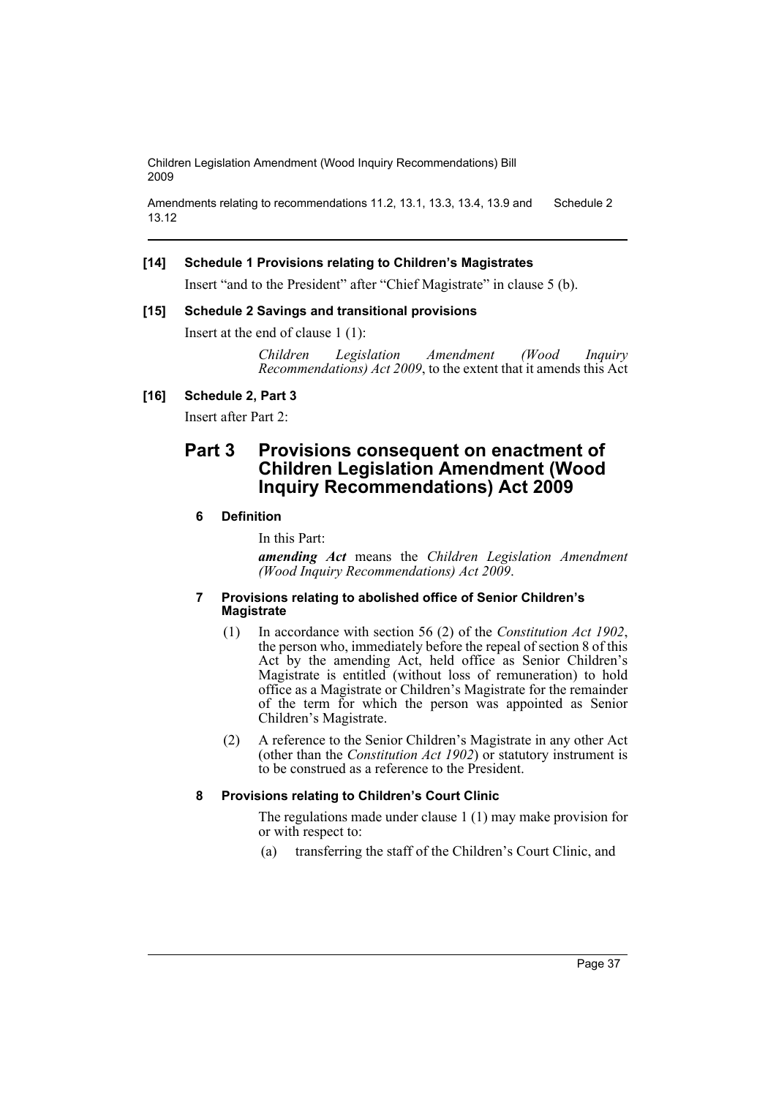```
Amendments relating to recommendations 11.2, 13.1, 13.3, 13.4, 13.9 and 
13.12
                                                                           Schedule 2
```
# **[14] Schedule 1 Provisions relating to Children's Magistrates**

Insert "and to the President" after "Chief Magistrate" in clause 5 (b).

# **[15] Schedule 2 Savings and transitional provisions**

Insert at the end of clause 1 (1):

*Children Legislation Amendment (Wood Inquiry Recommendations) Act 2009*, to the extent that it amends this Act

# **[16] Schedule 2, Part 3**

Insert after Part 2:

# **Part 3 Provisions consequent on enactment of Children Legislation Amendment (Wood Inquiry Recommendations) Act 2009**

# **6 Definition**

In this Part:

*amending Act* means the *Children Legislation Amendment (Wood Inquiry Recommendations) Act 2009*.

### **7 Provisions relating to abolished office of Senior Children's Magistrate**

- (1) In accordance with section 56 (2) of the *Constitution Act 1902*, the person who, immediately before the repeal of section 8 of this Act by the amending Act, held office as Senior Children's Magistrate is entitled (without loss of remuneration) to hold office as a Magistrate or Children's Magistrate for the remainder of the term for which the person was appointed as Senior Children's Magistrate.
- (2) A reference to the Senior Children's Magistrate in any other Act (other than the *Constitution Act 1902*) or statutory instrument is to be construed as a reference to the President.

# **8 Provisions relating to Children's Court Clinic**

The regulations made under clause 1 (1) may make provision for or with respect to:

(a) transferring the staff of the Children's Court Clinic, and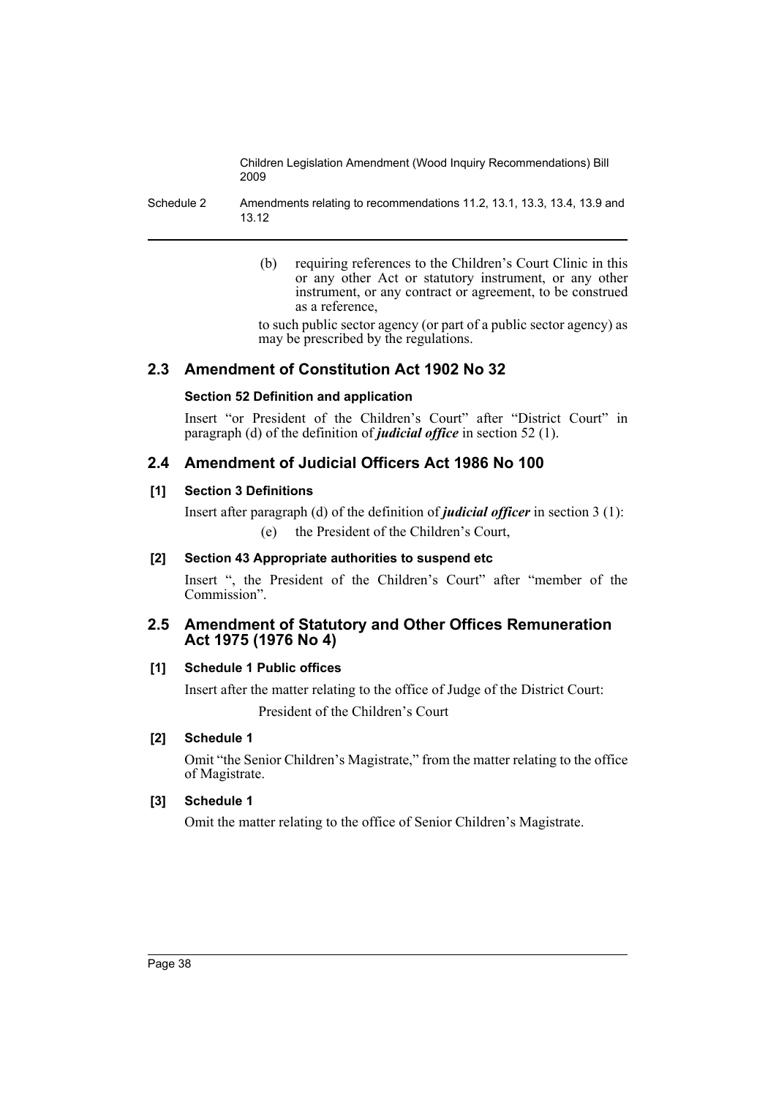Schedule 2 Amendments relating to recommendations 11.2, 13.1, 13.3, 13.4, 13.9 and 13.12

> (b) requiring references to the Children's Court Clinic in this or any other Act or statutory instrument, or any other instrument, or any contract or agreement, to be construed as a reference,

> to such public sector agency (or part of a public sector agency) as may be prescribed by the regulations.

# **2.3 Amendment of Constitution Act 1902 No 32**

# **Section 52 Definition and application**

Insert "or President of the Children's Court" after "District Court" in paragraph (d) of the definition of *judicial office* in section 52 (1).

# **2.4 Amendment of Judicial Officers Act 1986 No 100**

# **[1] Section 3 Definitions**

Insert after paragraph (d) of the definition of *judicial officer* in section 3 (1): (e) the President of the Children's Court,

# **[2] Section 43 Appropriate authorities to suspend etc**

Insert ", the President of the Children's Court" after "member of the Commission".

# **2.5 Amendment of Statutory and Other Offices Remuneration Act 1975 (1976 No 4)**

# **[1] Schedule 1 Public offices**

Insert after the matter relating to the office of Judge of the District Court: President of the Children's Court

# **[2] Schedule 1**

Omit "the Senior Children's Magistrate," from the matter relating to the office of Magistrate.

# **[3] Schedule 1**

Omit the matter relating to the office of Senior Children's Magistrate.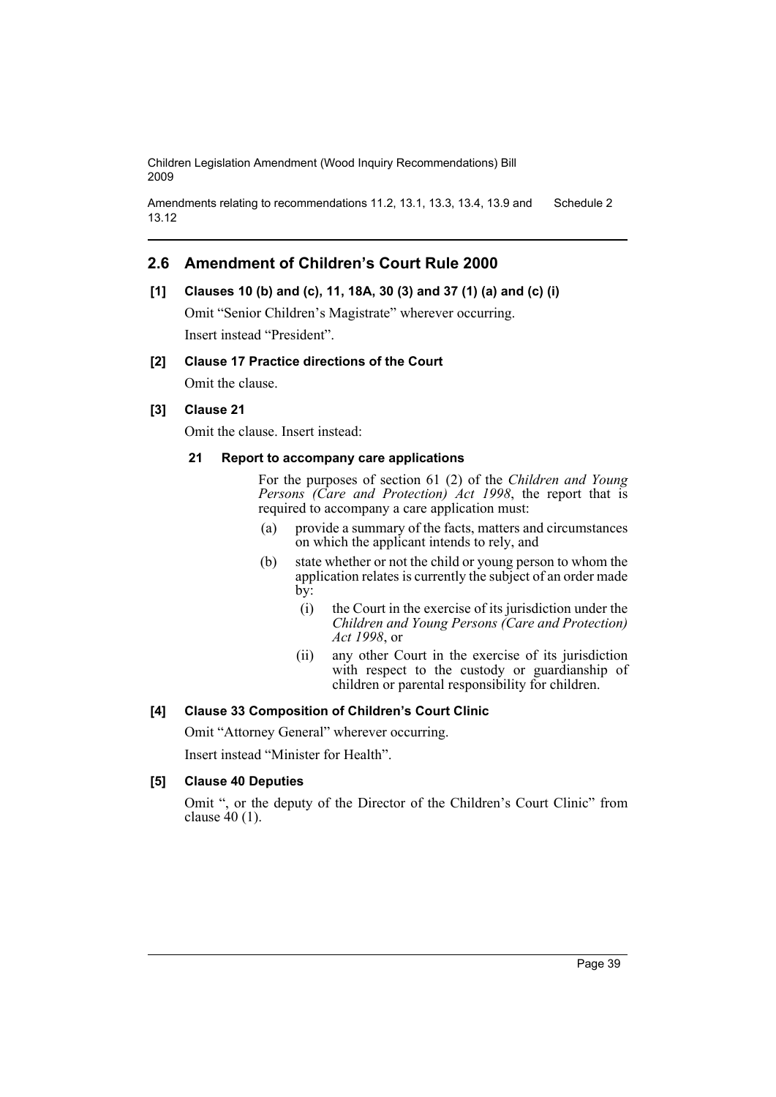```
Amendments relating to recommendations 11.2, 13.1, 13.3, 13.4, 13.9 and 
13.12
                                                                           Schedule 2
```
# **2.6 Amendment of Children's Court Rule 2000**

# **[1] Clauses 10 (b) and (c), 11, 18A, 30 (3) and 37 (1) (a) and (c) (i)**

Omit "Senior Children's Magistrate" wherever occurring. Insert instead "President".

# **[2] Clause 17 Practice directions of the Court**

Omit the clause.

# **[3] Clause 21**

Omit the clause. Insert instead:

### **21 Report to accompany care applications**

For the purposes of section 61 (2) of the *Children and Young Persons (Care and Protection) Act 1998*, the report that is required to accompany a care application must:

- (a) provide a summary of the facts, matters and circumstances on which the applicant intends to rely, and
- (b) state whether or not the child or young person to whom the application relates is currently the subject of an order made by:
	- (i) the Court in the exercise of its jurisdiction under the *Children and Young Persons (Care and Protection) Act 1998*, or
	- (ii) any other Court in the exercise of its jurisdiction with respect to the custody or guardianship of children or parental responsibility for children.

# **[4] Clause 33 Composition of Children's Court Clinic**

Omit "Attorney General" wherever occurring. Insert instead "Minister for Health".

# **[5] Clause 40 Deputies**

Omit ", or the deputy of the Director of the Children's Court Clinic" from clause  $40(1)$ .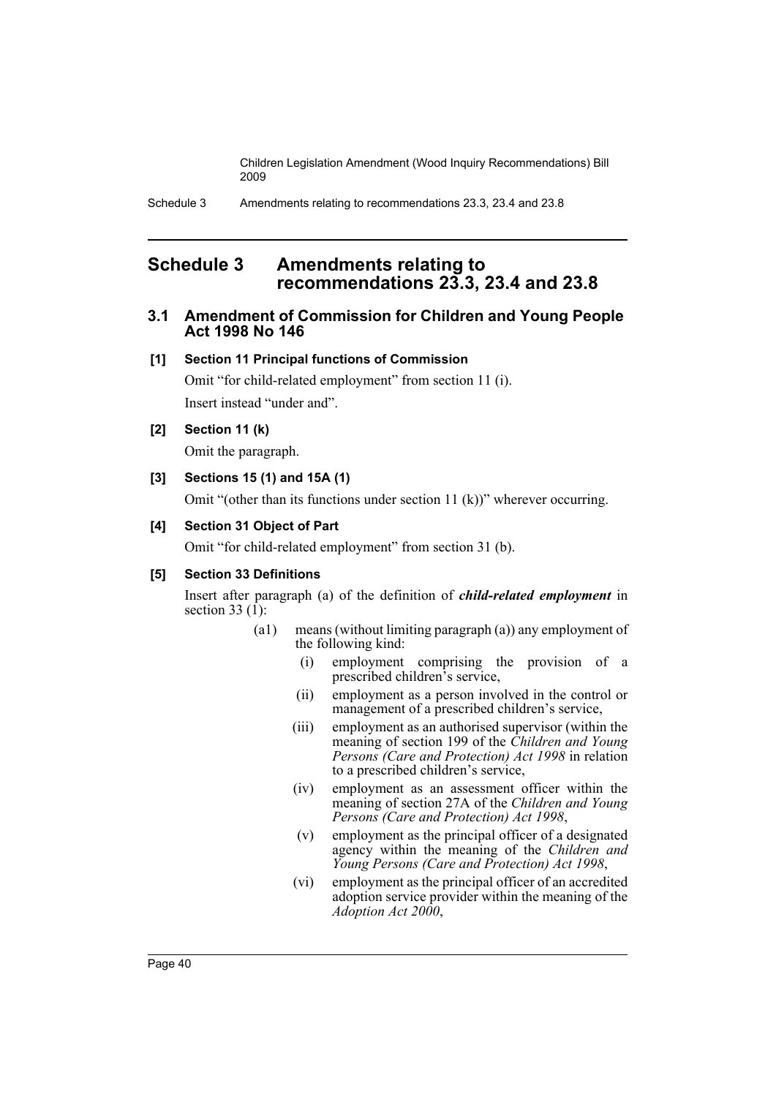# **Schedule 3 Amendments relating to recommendations 23.3, 23.4 and 23.8**

# **3.1 Amendment of Commission for Children and Young People Act 1998 No 146**

# **[1] Section 11 Principal functions of Commission**

Omit "for child-related employment" from section 11 (i). Insert instead "under and".

# **[2] Section 11 (k)**

Omit the paragraph.

# **[3] Sections 15 (1) and 15A (1)**

Omit "(other than its functions under section 11 (k))" wherever occurring.

# **[4] Section 31 Object of Part**

Omit "for child-related employment" from section 31 (b).

# **[5] Section 33 Definitions**

Insert after paragraph (a) of the definition of *child-related employment* in section  $33(1)$ :

- (a1) means (without limiting paragraph (a)) any employment of the following kind:
	- (i) employment comprising the provision of a prescribed children's service,
	- (ii) employment as a person involved in the control or management of a prescribed children's service,
	- (iii) employment as an authorised supervisor (within the meaning of section 199 of the *Children and Young Persons (Care and Protection) Act 1998* in relation to a prescribed children's service,
	- (iv) employment as an assessment officer within the meaning of section 27A of the *Children and Young Persons (Care and Protection) Act 1998*,
	- (v) employment as the principal officer of a designated agency within the meaning of the *Children and Young Persons (Care and Protection) Act 1998*,
	- (vi) employment as the principal officer of an accredited adoption service provider within the meaning of the *Adoption Act 2000*,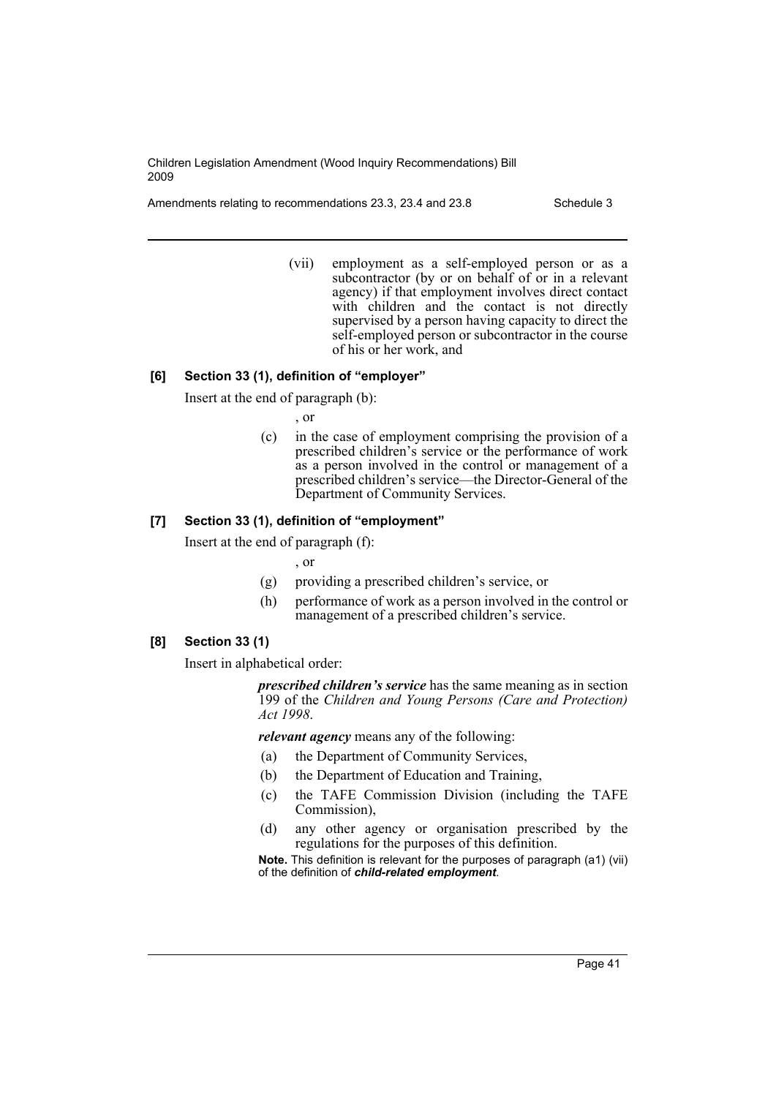Amendments relating to recommendations 23.3, 23.4 and 23.8 Schedule 3

(vii) employment as a self-employed person or as a subcontractor (by or on behalf of or in a relevant agency) if that employment involves direct contact with children and the contact is not directly supervised by a person having capacity to direct the self-employed person or subcontractor in the course of his or her work, and

# **[6] Section 33 (1), definition of "employer"**

Insert at the end of paragraph (b):

- , or
- (c) in the case of employment comprising the provision of a prescribed children's service or the performance of work as a person involved in the control or management of a prescribed children's service—the Director-General of the Department of Community Services.

# **[7] Section 33 (1), definition of "employment"**

Insert at the end of paragraph (f):

, or

- (g) providing a prescribed children's service, or
- (h) performance of work as a person involved in the control or management of a prescribed children's service.

# **[8] Section 33 (1)**

Insert in alphabetical order:

*prescribed children's service* has the same meaning as in section 199 of the *Children and Young Persons (Care and Protection) Act 1998*.

*relevant agency* means any of the following:

- (a) the Department of Community Services,
- (b) the Department of Education and Training,
- (c) the TAFE Commission Division (including the TAFE Commission),
- (d) any other agency or organisation prescribed by the regulations for the purposes of this definition.

**Note.** This definition is relevant for the purposes of paragraph (a1) (vii) of the definition of *child-related employment*.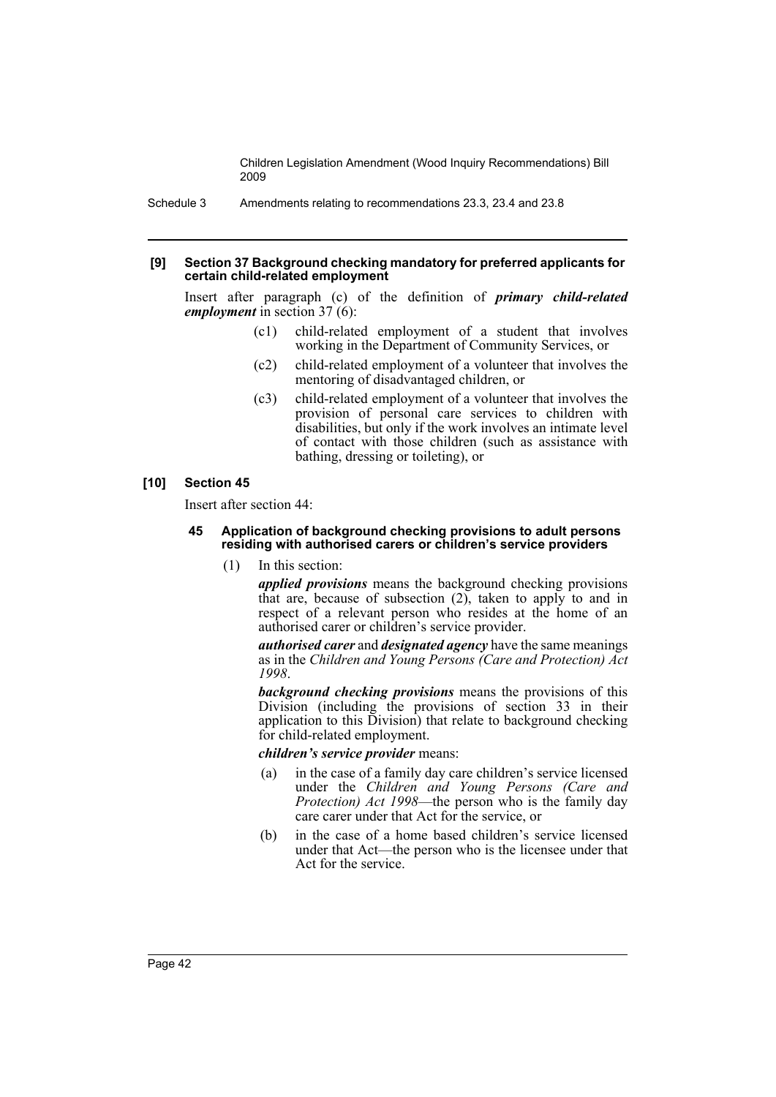Schedule 3 Amendments relating to recommendations 23.3, 23.4 and 23.8

#### **[9] Section 37 Background checking mandatory for preferred applicants for certain child-related employment**

Insert after paragraph (c) of the definition of *primary child-related employment* in section 37 (6):

- (c1) child-related employment of a student that involves working in the Department of Community Services, or
- (c2) child-related employment of a volunteer that involves the mentoring of disadvantaged children, or
- (c3) child-related employment of a volunteer that involves the provision of personal care services to children with disabilities, but only if the work involves an intimate level of contact with those children (such as assistance with bathing, dressing or toileting), or

### **[10] Section 45**

Insert after section 44:

#### **45 Application of background checking provisions to adult persons residing with authorised carers or children's service providers**

(1) In this section:

*applied provisions* means the background checking provisions that are, because of subsection  $(2)$ , taken to apply to and in respect of a relevant person who resides at the home of an authorised carer or children's service provider.

*authorised carer* and *designated agency* have the same meanings as in the *Children and Young Persons (Care and Protection) Act 1998*.

*background checking provisions* means the provisions of this Division (including the provisions of section 33 in their application to this Division) that relate to background checking for child-related employment.

### *children's service provider* means:

- (a) in the case of a family day care children's service licensed under the *Children and Young Persons (Care and Protection) Act 1998*—the person who is the family day care carer under that Act for the service, or
- (b) in the case of a home based children's service licensed under that Act—the person who is the licensee under that Act for the service.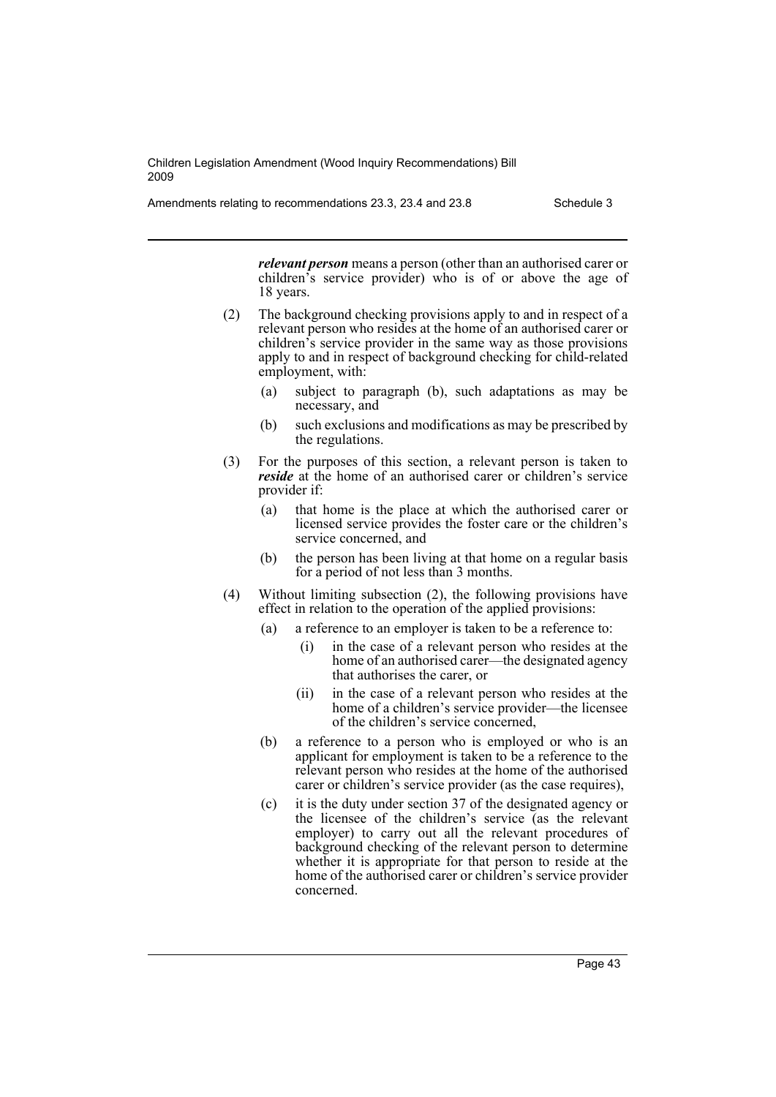Amendments relating to recommendations 23.3, 23.4 and 23.8 Schedule 3

*relevant person* means a person (other than an authorised carer or children's service provider) who is of or above the age of 18 years.

- (2) The background checking provisions apply to and in respect of a relevant person who resides at the home of an authorised carer or children's service provider in the same way as those provisions apply to and in respect of background checking for child-related employment, with:
	- subject to paragraph (b), such adaptations as may be necessary, and
	- (b) such exclusions and modifications as may be prescribed by the regulations.
- (3) For the purposes of this section, a relevant person is taken to *reside* at the home of an authorised carer or children's service provider if:
	- (a) that home is the place at which the authorised carer or licensed service provides the foster care or the children's service concerned, and
	- (b) the person has been living at that home on a regular basis for a period of not less than 3 months.
- (4) Without limiting subsection (2), the following provisions have effect in relation to the operation of the applied provisions:
	- (a) a reference to an employer is taken to be a reference to:
		- (i) in the case of a relevant person who resides at the home of an authorised carer—the designated agency that authorises the carer, or
		- (ii) in the case of a relevant person who resides at the home of a children's service provider—the licensee of the children's service concerned,
	- (b) a reference to a person who is employed or who is an applicant for employment is taken to be a reference to the relevant person who resides at the home of the authorised carer or children's service provider (as the case requires),
	- (c) it is the duty under section 37 of the designated agency or the licensee of the children's service (as the relevant employer) to carry out all the relevant procedures of background checking of the relevant person to determine whether it is appropriate for that person to reside at the home of the authorised carer or children's service provider concerned.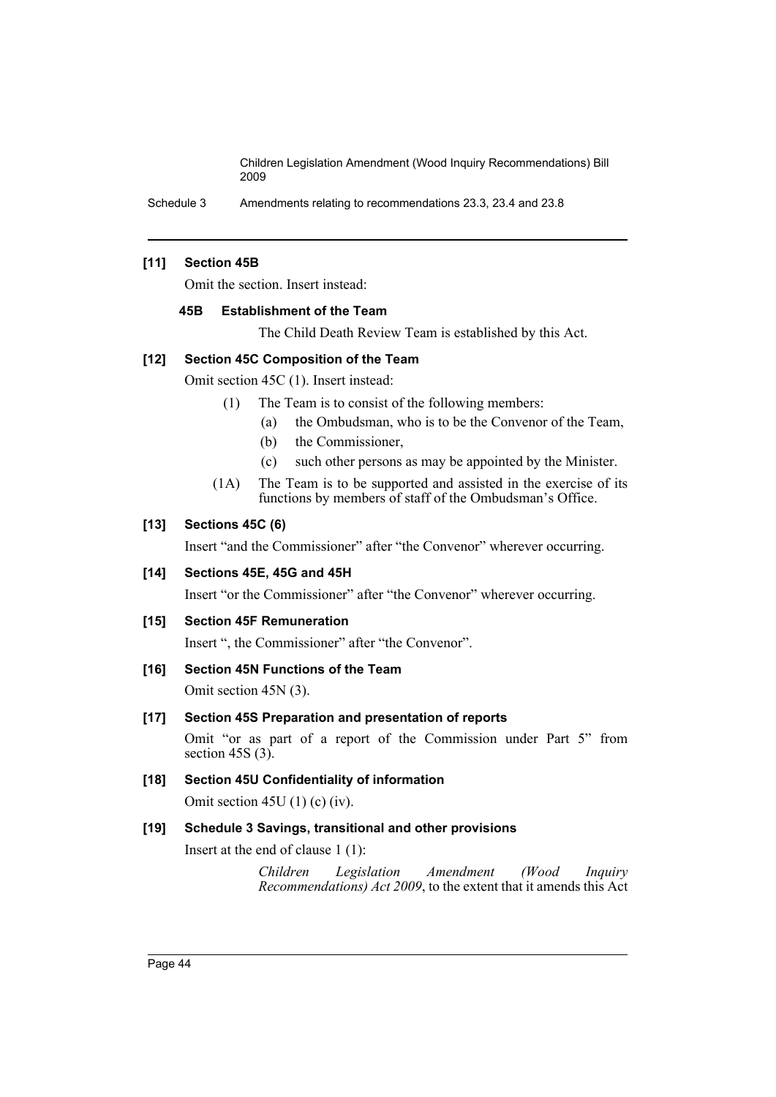Schedule 3 Amendments relating to recommendations 23.3, 23.4 and 23.8

### **[11] Section 45B**

Omit the section. Insert instead:

#### **45B Establishment of the Team**

The Child Death Review Team is established by this Act.

# **[12] Section 45C Composition of the Team**

Omit section 45C (1). Insert instead:

- (1) The Team is to consist of the following members:
	- (a) the Ombudsman, who is to be the Convenor of the Team,
	- (b) the Commissioner,
	- (c) such other persons as may be appointed by the Minister.
- (1A) The Team is to be supported and assisted in the exercise of its functions by members of staff of the Ombudsman's Office.

### **[13] Sections 45C (6)**

Insert "and the Commissioner" after "the Convenor" wherever occurring.

#### **[14] Sections 45E, 45G and 45H**

Insert "or the Commissioner" after "the Convenor" wherever occurring.

### **[15] Section 45F Remuneration**

Insert ", the Commissioner" after "the Convenor".

# **[16] Section 45N Functions of the Team**

Omit section 45N (3).

# **[17] Section 45S Preparation and presentation of reports**

Omit "or as part of a report of the Commission under Part 5" from section  $45S(3)$ .

# **[18] Section 45U Confidentiality of information**

Omit section 45U (1) (c) (iv).

# **[19] Schedule 3 Savings, transitional and other provisions**

Insert at the end of clause 1 (1):

*Children Legislation Amendment (Wood Inquiry Recommendations) Act 2009*, to the extent that it amends this Act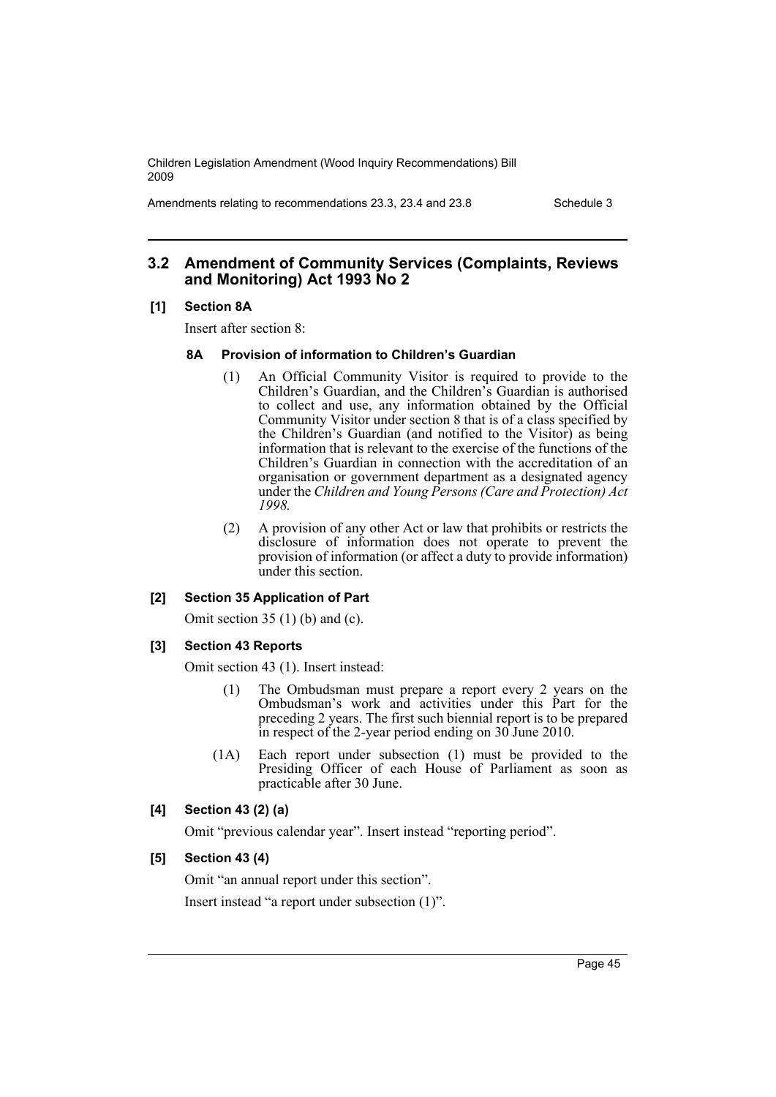Amendments relating to recommendations 23.3, 23.4 and 23.8 Schedule 3

# **3.2 Amendment of Community Services (Complaints, Reviews and Monitoring) Act 1993 No 2**

#### **[1] Section 8A**

Insert after section 8:

#### **8A Provision of information to Children's Guardian**

- (1) An Official Community Visitor is required to provide to the Children's Guardian, and the Children's Guardian is authorised to collect and use, any information obtained by the Official Community Visitor under section 8 that is of a class specified by the Children's Guardian (and notified to the Visitor) as being information that is relevant to the exercise of the functions of the Children's Guardian in connection with the accreditation of an organisation or government department as a designated agency under the *Children and Young Persons (Care and Protection) Act 1998.*
- (2) A provision of any other Act or law that prohibits or restricts the disclosure of information does not operate to prevent the provision of information (or affect a duty to provide information) under this section.

#### **[2] Section 35 Application of Part**

Omit section 35 (1) (b) and (c).

#### **[3] Section 43 Reports**

Omit section 43 (1). Insert instead:

- (1) The Ombudsman must prepare a report every 2 years on the Ombudsman's work and activities under this Part for the preceding 2 years. The first such biennial report is to be prepared in respect of the 2-year period ending on 30 June 2010.
- (1A) Each report under subsection (1) must be provided to the Presiding Officer of each House of Parliament as soon as practicable after 30 June.

# **[4] Section 43 (2) (a)**

Omit "previous calendar year". Insert instead "reporting period".

# **[5] Section 43 (4)**

Omit "an annual report under this section".

Insert instead "a report under subsection (1)".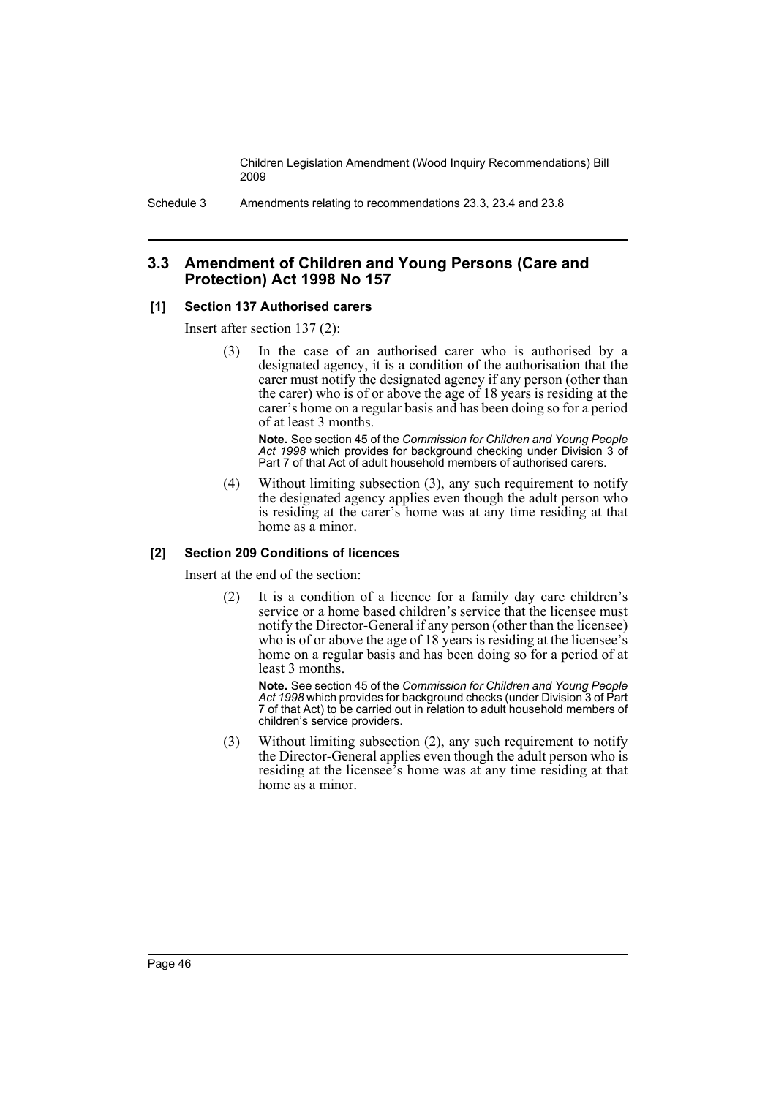Schedule 3 Amendments relating to recommendations 23.3, 23.4 and 23.8

# **3.3 Amendment of Children and Young Persons (Care and Protection) Act 1998 No 157**

# **[1] Section 137 Authorised carers**

Insert after section 137 (2):

(3) In the case of an authorised carer who is authorised by a designated agency, it is a condition of the authorisation that the carer must notify the designated agency if any person (other than the carer) who is of or above the age of 18 years is residing at the carer's home on a regular basis and has been doing so for a period of at least 3 months.

**Note.** See section 45 of the *Commission for Children and Young People Act 1998* which provides for background checking under Division 3 of Part 7 of that Act of adult household members of authorised carers.

(4) Without limiting subsection (3), any such requirement to notify the designated agency applies even though the adult person who is residing at the carer's home was at any time residing at that home as a minor.

### **[2] Section 209 Conditions of licences**

Insert at the end of the section:

(2) It is a condition of a licence for a family day care children's service or a home based children's service that the licensee must notify the Director-General if any person (other than the licensee) who is of or above the age of 18 years is residing at the licensee's home on a regular basis and has been doing so for a period of at least 3 months.

**Note.** See section 45 of the *Commission for Children and Young People Act 1998* which provides for background checks (under Division 3 of Part 7 of that Act) to be carried out in relation to adult household members of children's service providers.

(3) Without limiting subsection (2), any such requirement to notify the Director-General applies even though the adult person who is residing at the licensee's home was at any time residing at that home as a minor.